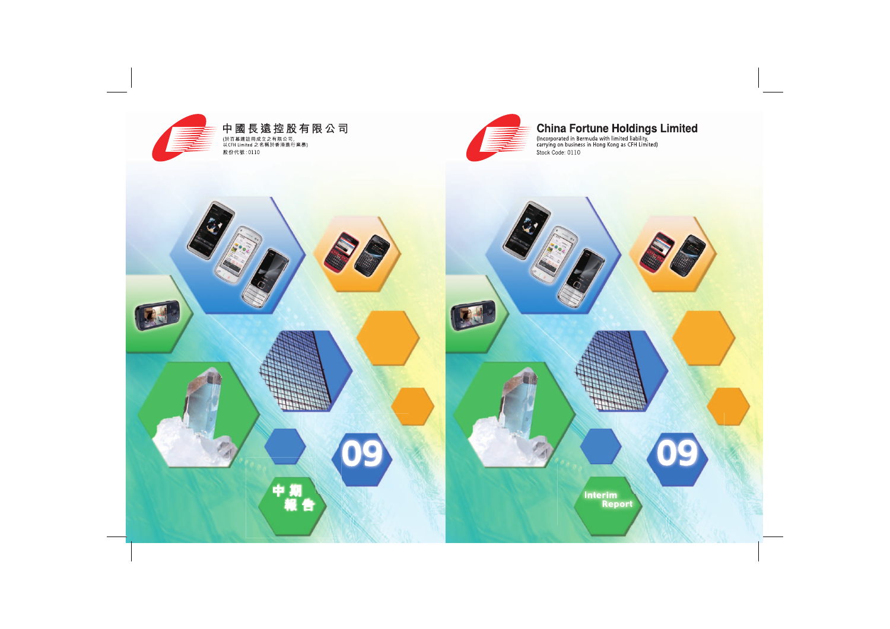

# **China Fortune Holdings Limited**<br>(Incorporated in Bermuda with limited liability,<br>carrying on business in Hong Kong as CFH Limited)

Stock Code: 0110

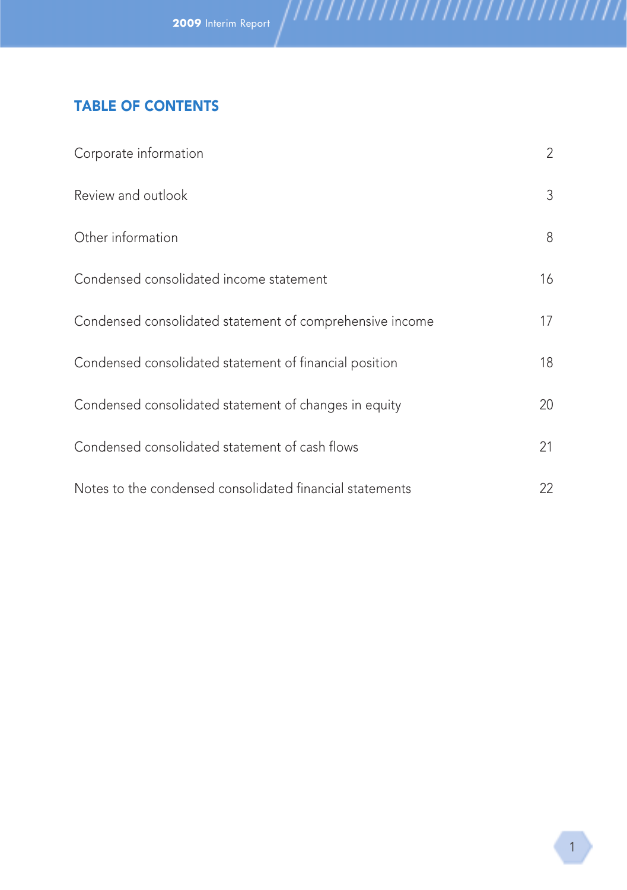# TABLE OF CONTENTS

| Corporate information                                    | $\overline{2}$ |
|----------------------------------------------------------|----------------|
| Review and outlook                                       | 3              |
| Other information                                        | 8              |
| Condensed consolidated income statement                  | 16             |
| Condensed consolidated statement of comprehensive income | 17             |
| Condensed consolidated statement of financial position   | 18             |
| Condensed consolidated statement of changes in equity    | 20             |
| Condensed consolidated statement of cash flows           | 21             |
| Notes to the condensed consolidated financial statements | 22             |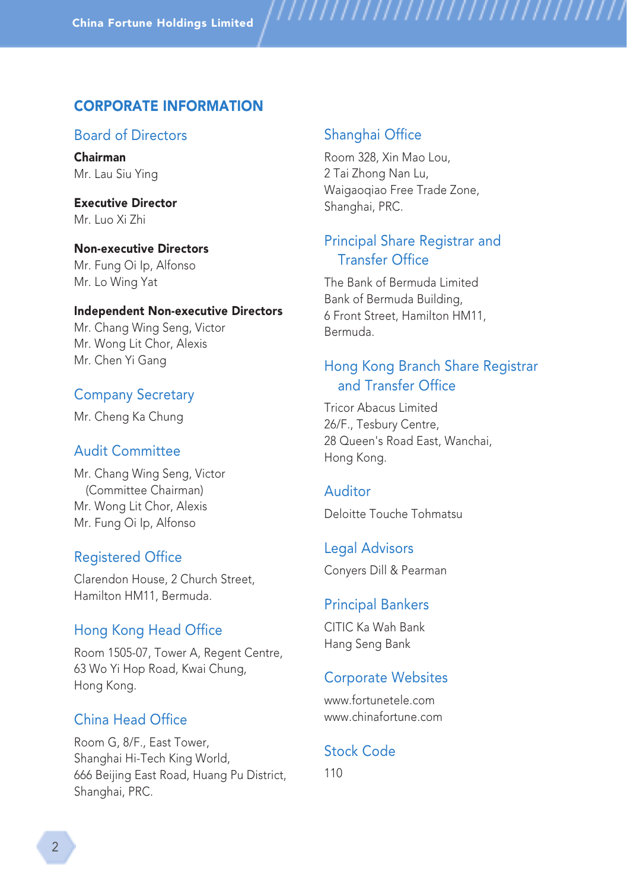# CORPORATE INFORMATION

# Board of Directors

Chairman Mr. Lau Siu Ying

Executive Director Mr. Luo Xi Zhi

Non-executive Directors Mr. Fung Oi Ip, Alfonso Mr. Lo Wing Yat

#### Independent Non-executive Directors

Mr. Chang Wing Seng, Victor Mr. Wong Lit Chor, Alexis Mr. Chen Yi Gang

## Company Secretary

Mr. Cheng Ka Chung

## Audit Committee

Mr. Chang Wing Seng, Victor (Committee Chairman) Mr. Wong Lit Chor, Alexis Mr. Fung Oi Ip, Alfonso

## Registered Office

Clarendon House, 2 Church Street, Hamilton HM11, Bermuda.

## Hong Kong Head Office

Room 1505-07, Tower A, Regent Centre, 63 Wo Yi Hop Road, Kwai Chung, Hong Kong.

# China Head Office

Room G, 8/F., East Tower, Shanghai Hi-Tech King World, 666 Beijing East Road, Huang Pu District, Shanghai, PRC.

## Shanghai Office

Room 328, Xin Mao Lou, 2 Tai Zhong Nan Lu, Waigaoqiao Free Trade Zone, Shanghai, PRC.

,,,,,,,,,,,,,,,,,,,,,,

# Principal Share Registrar and Transfer Office

The Bank of Bermuda Limited Bank of Bermuda Building, 6 Front Street, Hamilton HM11, Bermuda.

# Hong Kong Branch Share Registrar and Transfer Office

Tricor Abacus Limited 26/F., Tesbury Centre, 28 Queen's Road East, Wanchai, Hong Kong.

## Auditor

Deloitte Touche Tohmatsu

Legal Advisors Conyers Dill & Pearman

#### Principal Bankers

CITIC Ka Wah Bank Hang Seng Bank

## Corporate Websites

www.fortunetele.com www.chinafortune.com

## Stock Code

110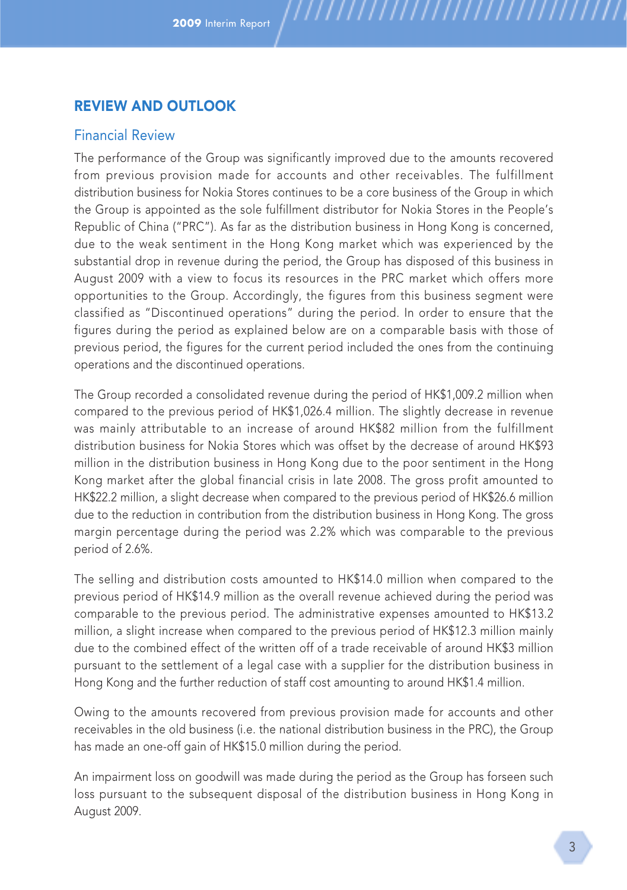# REVIEW AND OUTLOOK

#### Financial Review

The performance of the Group was significantly improved due to the amounts recovered from previous provision made for accounts and other receivables. The fulfillment distribution business for Nokia Stores continues to be a core business of the Group in which the Group is appointed as the sole fulfillment distributor for Nokia Stores in the People's Republic of China ("PRC"). As far as the distribution business in Hong Kong is concerned, due to the weak sentiment in the Hong Kong market which was experienced by the substantial drop in revenue during the period, the Group has disposed of this business in August 2009 with a view to focus its resources in the PRC market which offers more opportunities to the Group. Accordingly, the figures from this business segment were classified as "Discontinued operations" during the period. In order to ensure that the figures during the period as explained below are on a comparable basis with those of previous period, the figures for the current period included the ones from the continuing operations and the discontinued operations.

,,,,,,,,,,,,,,,,,,,,,,,,,,,,,

The Group recorded a consolidated revenue during the period of HK\$1,009.2 million when compared to the previous period of HK\$1,026.4 million. The slightly decrease in revenue was mainly attributable to an increase of around HK\$82 million from the fulfillment distribution business for Nokia Stores which was offset by the decrease of around HK\$93 million in the distribution business in Hong Kong due to the poor sentiment in the Hong Kong market after the global financial crisis in late 2008. The gross profit amounted to HK\$22.2 million, a slight decrease when compared to the previous period of HK\$26.6 million due to the reduction in contribution from the distribution business in Hong Kong. The gross margin percentage during the period was 2.2% which was comparable to the previous period of 2.6%.

The selling and distribution costs amounted to HK\$14.0 million when compared to the previous period of HK\$14.9 million as the overall revenue achieved during the period was comparable to the previous period. The administrative expenses amounted to HK\$13.2 million, a slight increase when compared to the previous period of HK\$12.3 million mainly due to the combined effect of the written off of a trade receivable of around HK\$3 million pursuant to the settlement of a legal case with a supplier for the distribution business in Hong Kong and the further reduction of staff cost amounting to around HK\$1.4 million.

Owing to the amounts recovered from previous provision made for accounts and other receivables in the old business (i.e. the national distribution business in the PRC), the Group has made an one-off gain of HK\$15.0 million during the period.

An impairment loss on goodwill was made during the period as the Group has forseen such loss pursuant to the subsequent disposal of the distribution business in Hong Kong in August 2009.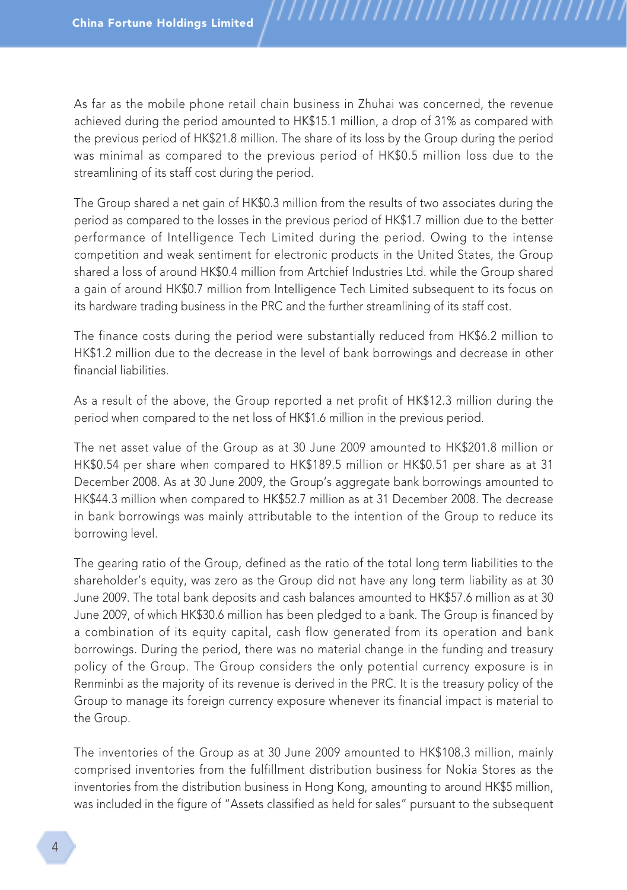As far as the mobile phone retail chain business in Zhuhai was concerned, the revenue achieved during the period amounted to HK\$15.1 million, a drop of 31% as compared with the previous period of HK\$21.8 million. The share of its loss by the Group during the period was minimal as compared to the previous period of HK\$0.5 million loss due to the streamlining of its staff cost during the period.

,,,,,,,,,,,,,,,,,,,,,,,

The Group shared a net gain of HK\$0.3 million from the results of two associates during the period as compared to the losses in the previous period of HK\$1.7 million due to the better performance of Intelligence Tech Limited during the period. Owing to the intense competition and weak sentiment for electronic products in the United States, the Group shared a loss of around HK\$0.4 million from Artchief Industries Ltd. while the Group shared a gain of around HK\$0.7 million from Intelligence Tech Limited subsequent to its focus on its hardware trading business in the PRC and the further streamlining of its staff cost.

The finance costs during the period were substantially reduced from HK\$6.2 million to HK\$1.2 million due to the decrease in the level of bank borrowings and decrease in other financial liabilities.

As a result of the above, the Group reported a net profit of HK\$12.3 million during the period when compared to the net loss of HK\$1.6 million in the previous period.

The net asset value of the Group as at 30 June 2009 amounted to HK\$201.8 million or HK\$0.54 per share when compared to HK\$189.5 million or HK\$0.51 per share as at 31 December 2008. As at 30 June 2009, the Group's aggregate bank borrowings amounted to HK\$44.3 million when compared to HK\$52.7 million as at 31 December 2008. The decrease in bank borrowings was mainly attributable to the intention of the Group to reduce its borrowing level.

The gearing ratio of the Group, defined as the ratio of the total long term liabilities to the shareholder's equity, was zero as the Group did not have any long term liability as at 30 June 2009. The total bank deposits and cash balances amounted to HK\$57.6 million as at 30 June 2009, of which HK\$30.6 million has been pledged to a bank. The Group is financed by a combination of its equity capital, cash flow generated from its operation and bank borrowings. During the period, there was no material change in the funding and treasury policy of the Group. The Group considers the only potential currency exposure is in Renminbi as the majority of its revenue is derived in the PRC. It is the treasury policy of the Group to manage its foreign currency exposure whenever its financial impact is material to the Group.

The inventories of the Group as at 30 June 2009 amounted to HK\$108.3 million, mainly comprised inventories from the fulfillment distribution business for Nokia Stores as the inventories from the distribution business in Hong Kong, amounting to around HK\$5 million, was included in the figure of "Assets classified as held for sales" pursuant to the subsequent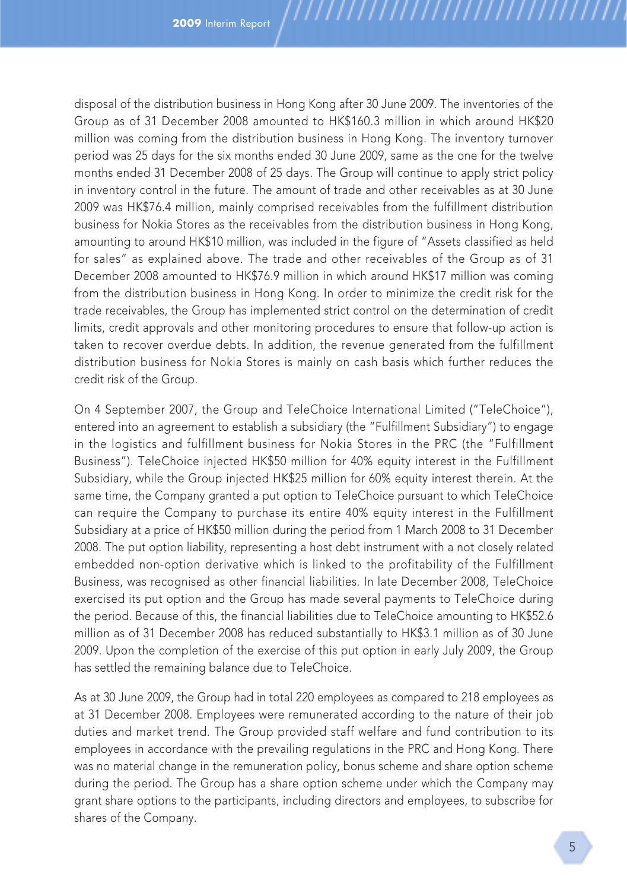disposal of the distribution business in Hong Kong after 30 June 2009. The inventories of the Group as of 31 December 2008 amounted to HK\$160.3 million in which around HK\$20 million was coming from the distribution business in Hong Kong. The inventory turnover period was 25 days for the six months ended 30 June 2009, same as the one for the twelve months ended 31 December 2008 of 25 days. The Group will continue to apply strict policy in inventory control in the future. The amount of trade and other receivables as at 30 June 2009 was HK\$76.4 million, mainly comprised receivables from the fulfillment distribution business for Nokia Stores as the receivables from the distribution business in Hong Kong, amounting to around HK\$10 million, was included in the figure of "Assets classified as held for sales" as explained above. The trade and other receivables of the Group as of 31 December 2008 amounted to HK\$76.9 million in which around HK\$17 million was coming from the distribution business in Hong Kong. In order to minimize the credit risk for the trade receivables, the Group has implemented strict control on the determination of credit limits, credit approvals and other monitoring procedures to ensure that follow-up action is taken to recover overdue debts. In addition, the revenue generated from the fulfillment distribution business for Nokia Stores is mainly on cash basis which further reduces the credit risk of the Group.

,,,,,,,,,,,,,,,,,,,,,,,

On 4 September 2007, the Group and TeleChoice International Limited ("TeleChoice"), entered into an agreement to establish a subsidiary (the "Fulfillment Subsidiary") to engage in the logistics and fulfillment business for Nokia Stores in the PRC (the "Fulfillment Business"). TeleChoice injected HK\$50 million for 40% equity interest in the Fulfillment Subsidiary, while the Group injected HK\$25 million for 60% equity interest therein. At the same time, the Company granted a put option to TeleChoice pursuant to which TeleChoice can require the Company to purchase its entire 40% equity interest in the Fulfillment Subsidiary at a price of HK\$50 million during the period from 1 March 2008 to 31 December 2008. The put option liability, representing a host debt instrument with a not closely related embedded non-option derivative which is linked to the profitability of the Fulfillment Business, was recognised as other financial liabilities. In late December 2008, TeleChoice exercised its put option and the Group has made several payments to TeleChoice during the period. Because of this, the financial liabilities due to TeleChoice amounting to HK\$52.6 million as of 31 December 2008 has reduced substantially to HK\$3.1 million as of 30 June 2009. Upon the completion of the exercise of this put option in early July 2009, the Group has settled the remaining balance due to TeleChoice.

As at 30 June 2009, the Group had in total 220 employees as compared to 218 employees as at 31 December 2008. Employees were remunerated according to the nature of their job duties and market trend. The Group provided staff welfare and fund contribution to its employees in accordance with the prevailing regulations in the PRC and Hong Kong. There was no material change in the remuneration policy, bonus scheme and share option scheme during the period. The Group has a share option scheme under which the Company may grant share options to the participants, including directors and employees, to subscribe for shares of the Company.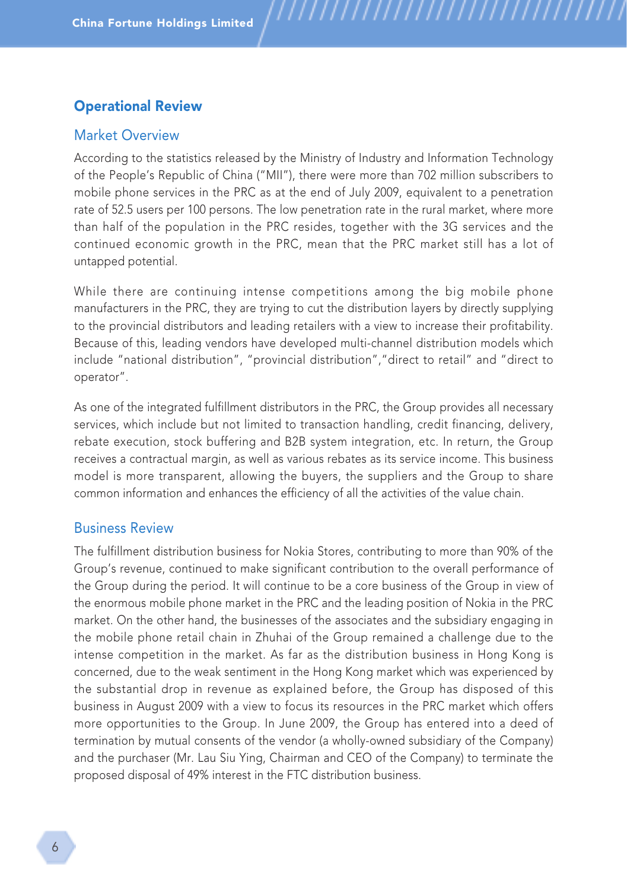## Operational Review

#### Market Overview

According to the statistics released by the Ministry of Industry and Information Technology of the People's Republic of China ("MII"), there were more than 702 million subscribers to mobile phone services in the PRC as at the end of July 2009, equivalent to a penetration rate of 52.5 users per 100 persons. The low penetration rate in the rural market, where more than half of the population in the PRC resides, together with the 3G services and the continued economic growth in the PRC, mean that the PRC market still has a lot of untapped potential.

,,,,,,,,,,,,,,,,,,,,,,,,

While there are continuing intense competitions among the big mobile phone manufacturers in the PRC, they are trying to cut the distribution layers by directly supplying to the provincial distributors and leading retailers with a view to increase their profitability. Because of this, leading vendors have developed multi-channel distribution models which include "national distribution", "provincial distribution","direct to retail" and "direct to operator".

As one of the integrated fulfillment distributors in the PRC, the Group provides all necessary services, which include but not limited to transaction handling, credit financing, delivery, rebate execution, stock buffering and B2B system integration, etc. In return, the Group receives a contractual margin, as well as various rebates as its service income. This business model is more transparent, allowing the buyers, the suppliers and the Group to share common information and enhances the efficiency of all the activities of the value chain.

## Business Review

The fulfillment distribution business for Nokia Stores, contributing to more than 90% of the Group's revenue, continued to make significant contribution to the overall performance of the Group during the period. It will continue to be a core business of the Group in view of the enormous mobile phone market in the PRC and the leading position of Nokia in the PRC market. On the other hand, the businesses of the associates and the subsidiary engaging in the mobile phone retail chain in Zhuhai of the Group remained a challenge due to the intense competition in the market. As far as the distribution business in Hong Kong is concerned, due to the weak sentiment in the Hong Kong market which was experienced by the substantial drop in revenue as explained before, the Group has disposed of this business in August 2009 with a view to focus its resources in the PRC market which offers more opportunities to the Group. In June 2009, the Group has entered into a deed of termination by mutual consents of the vendor (a wholly-owned subsidiary of the Company) and the purchaser (Mr. Lau Siu Ying, Chairman and CEO of the Company) to terminate the proposed disposal of 49% interest in the FTC distribution business.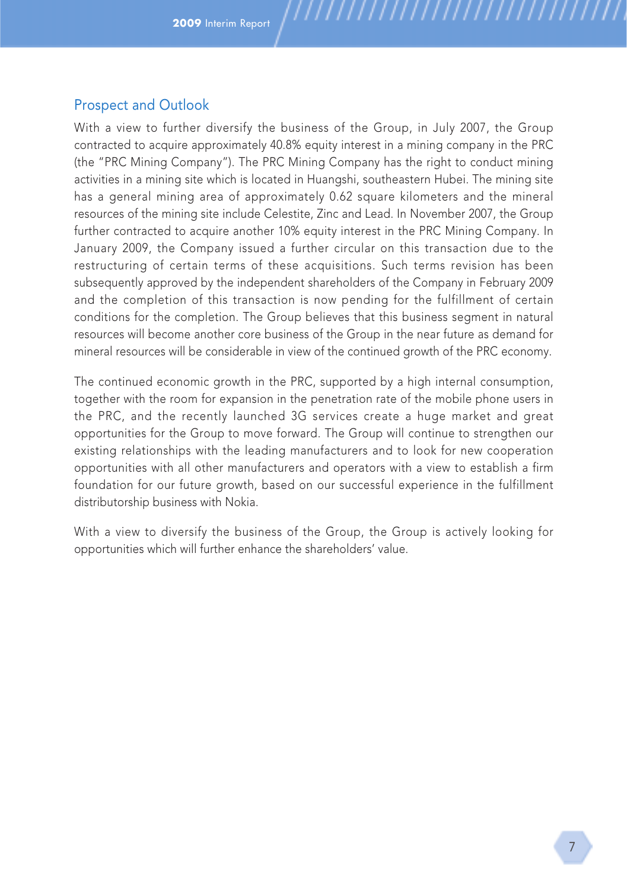With a view to further diversify the business of the Group, in July 2007, the Group contracted to acquire approximately 40.8% equity interest in a mining company in the PRC (the "PRC Mining Company"). The PRC Mining Company has the right to conduct mining activities in a mining site which is located in Huangshi, southeastern Hubei. The mining site has a general mining area of approximately 0.62 square kilometers and the mineral resources of the mining site include Celestite, Zinc and Lead. In November 2007, the Group further contracted to acquire another 10% equity interest in the PRC Mining Company. In January 2009, the Company issued a further circular on this transaction due to the restructuring of certain terms of these acquisitions. Such terms revision has been subsequently approved by the independent shareholders of the Company in February 2009 and the completion of this transaction is now pending for the fulfillment of certain conditions for the completion. The Group believes that this business segment in natural resources will become another core business of the Group in the near future as demand for mineral resources will be considerable in view of the continued growth of the PRC economy.

,,,,,,,,,,,,,,,,,,,,,,,,,,

The continued economic growth in the PRC, supported by a high internal consumption, together with the room for expansion in the penetration rate of the mobile phone users in the PRC, and the recently launched 3G services create a huge market and great opportunities for the Group to move forward. The Group will continue to strengthen our existing relationships with the leading manufacturers and to look for new cooperation opportunities with all other manufacturers and operators with a view to establish a firm foundation for our future growth, based on our successful experience in the fulfillment distributorship business with Nokia.

With a view to diversify the business of the Group, the Group is actively looking for opportunities which will further enhance the shareholders' value.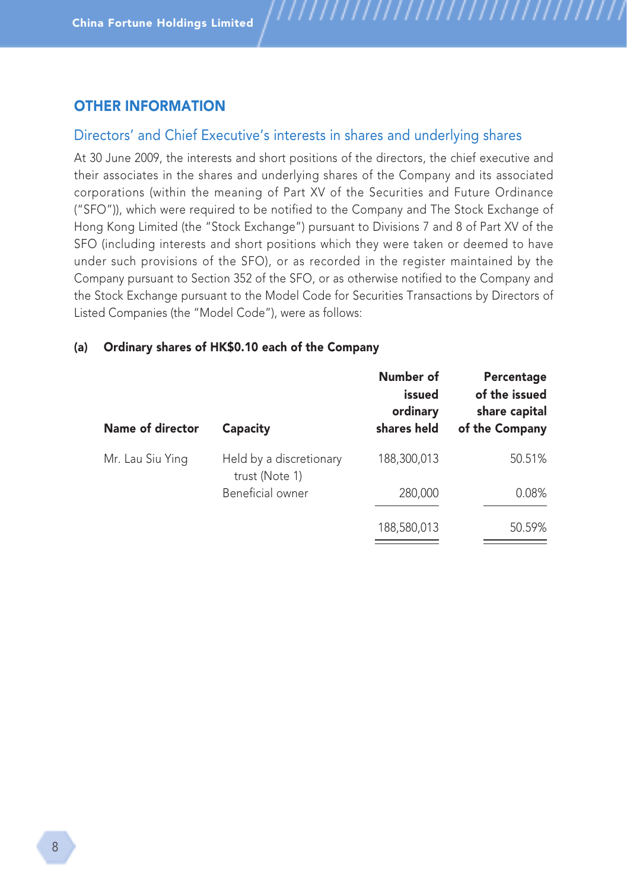# OTHER INFORMATION

# Directors' and Chief Executive's interests in shares and underlying shares

,,,,,,,,,,,,,,,,,,,,,,

At 30 June 2009, the interests and short positions of the directors, the chief executive and their associates in the shares and underlying shares of the Company and its associated corporations (within the meaning of Part XV of the Securities and Future Ordinance ("SFO")), which were required to be notified to the Company and The Stock Exchange of Hong Kong Limited (the "Stock Exchange") pursuant to Divisions 7 and 8 of Part XV of the SFO (including interests and short positions which they were taken or deemed to have under such provisions of the SFO), or as recorded in the register maintained by the Company pursuant to Section 352 of the SFO, or as otherwise notified to the Company and the Stock Exchange pursuant to the Model Code for Securities Transactions by Directors of Listed Companies (the "Model Code"), were as follows:

#### (a) Ordinary shares of HK\$0.10 each of the Company

| Name of director<br>Capacity |                                           | Number of<br>issued<br>ordinary<br>shares held | Percentage<br>of the issued<br>share capital<br>of the Company |
|------------------------------|-------------------------------------------|------------------------------------------------|----------------------------------------------------------------|
| Mr. Lau Siu Ying             | Held by a discretionary<br>trust (Note 1) | 188,300,013                                    | 50.51%                                                         |
|                              | Beneficial owner                          | 280,000                                        | 0.08%                                                          |
|                              |                                           | 188,580,013                                    | 50.59%                                                         |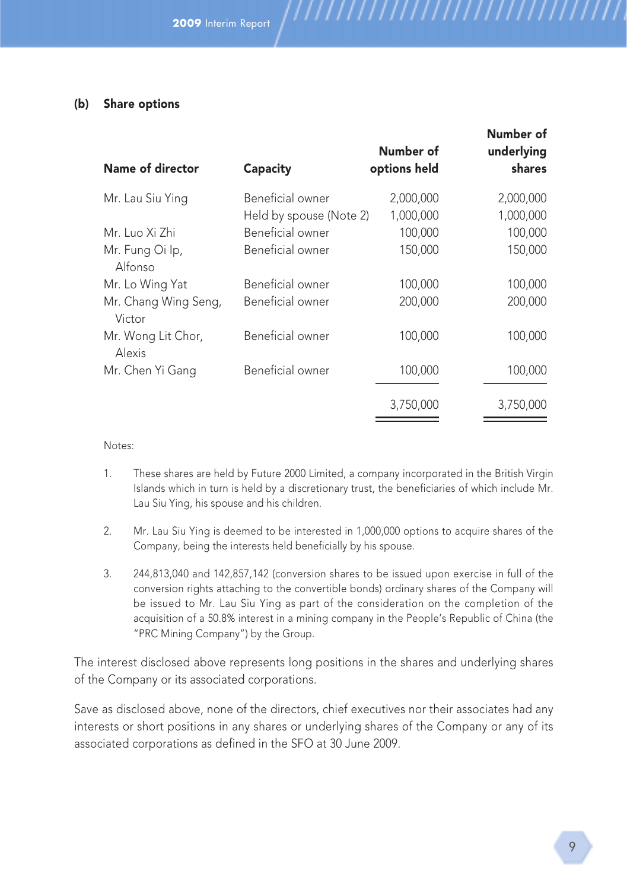## (b) Share options

| Name of director               | Capacity                | Number of<br>options held | Number of<br>underlying<br>shares |
|--------------------------------|-------------------------|---------------------------|-----------------------------------|
| Mr. Lau Siu Ying               | Beneficial owner        | 2,000,000                 | 2,000,000                         |
|                                | Held by spouse (Note 2) | 1,000,000                 | 1,000,000                         |
| Mr. Luo Xi Zhi                 | Beneficial owner        | 100,000                   | 100,000                           |
| Mr. Fung Oi Ip,<br>Alfonso     | Beneficial owner        | 150,000                   | 150,000                           |
| Mr. Lo Wing Yat                | Beneficial owner        | 100,000                   | 100,000                           |
| Mr. Chang Wing Seng,<br>Victor | Beneficial owner        | 200,000                   | 200,000                           |
| Mr. Wong Lit Chor,<br>Alexis   | Beneficial owner        | 100,000                   | 100,000                           |
| Mr. Chen Yi Gang               | Beneficial owner        | 100,000                   | 100,000                           |
|                                |                         | 3,750,000                 | 3,750,000                         |

,,,,,,,,,,,,,,,,,,,,

Notes:

- 1. These shares are held by Future 2000 Limited, a company incorporated in the British Virgin Islands which in turn is held by a discretionary trust, the beneficiaries of which include Mr. Lau Siu Ying, his spouse and his children.
- 2. Mr. Lau Siu Ying is deemed to be interested in 1,000,000 options to acquire shares of the Company, being the interests held beneficially by his spouse.
- 3. 244,813,040 and 142,857,142 (conversion shares to be issued upon exercise in full of the conversion rights attaching to the convertible bonds) ordinary shares of the Company will be issued to Mr. Lau Siu Ying as part of the consideration on the completion of the acquisition of a 50.8% interest in a mining company in the People's Republic of China (the "PRC Mining Company") by the Group.

The interest disclosed above represents long positions in the shares and underlying shares of the Company or its associated corporations.

Save as disclosed above, none of the directors, chief executives nor their associates had any interests or short positions in any shares or underlying shares of the Company or any of its associated corporations as defined in the SFO at 30 June 2009.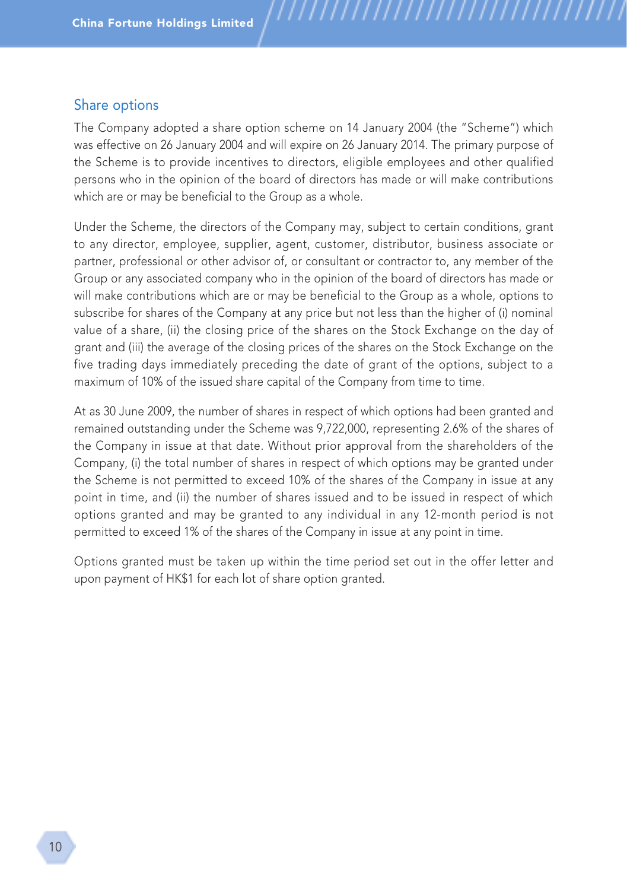## Share options

The Company adopted a share option scheme on 14 January 2004 (the "Scheme") which was effective on 26 January 2004 and will expire on 26 January 2014. The primary purpose of the Scheme is to provide incentives to directors, eligible employees and other qualified persons who in the opinion of the board of directors has made or will make contributions which are or may be beneficial to the Group as a whole.

,,,,,,,,,,,,,,,,,,,,,

Under the Scheme, the directors of the Company may, subject to certain conditions, grant to any director, employee, supplier, agent, customer, distributor, business associate or partner, professional or other advisor of, or consultant or contractor to, any member of the Group or any associated company who in the opinion of the board of directors has made or will make contributions which are or may be beneficial to the Group as a whole, options to subscribe for shares of the Company at any price but not less than the higher of (i) nominal value of a share, (ii) the closing price of the shares on the Stock Exchange on the day of grant and (iii) the average of the closing prices of the shares on the Stock Exchange on the five trading days immediately preceding the date of grant of the options, subject to a maximum of 10% of the issued share capital of the Company from time to time.

At as 30 June 2009, the number of shares in respect of which options had been granted and remained outstanding under the Scheme was 9,722,000, representing 2.6% of the shares of the Company in issue at that date. Without prior approval from the shareholders of the Company, (i) the total number of shares in respect of which options may be granted under the Scheme is not permitted to exceed 10% of the shares of the Company in issue at any point in time, and (ii) the number of shares issued and to be issued in respect of which options granted and may be granted to any individual in any 12-month period is not permitted to exceed 1% of the shares of the Company in issue at any point in time.

Options granted must be taken up within the time period set out in the offer letter and upon payment of HK\$1 for each lot of share option granted.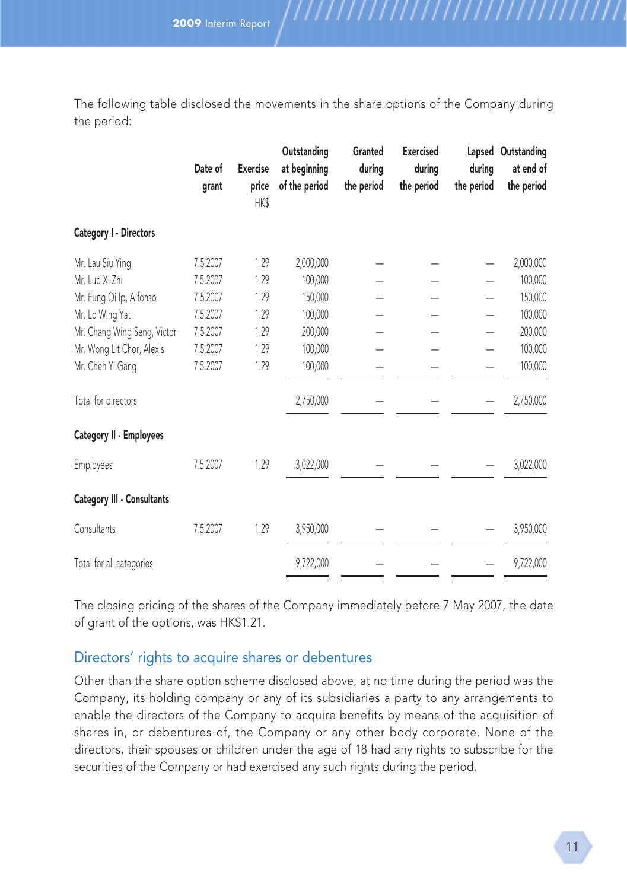**2009** Interim Report

The following table disclosed the movements in the share options of the Company during the period:

,,,,,,,,,,,,,,,,,,

|                             | Date of<br>grant | <b>Exercise</b><br>price<br>HK\$ | Outstanding<br>at beginning<br>of the period | Granted<br>during<br>the period | <b>Exercised</b><br>during<br>the period | during<br>the period | Lapsed Outstanding<br>at end of<br>the period |
|-----------------------------|------------------|----------------------------------|----------------------------------------------|---------------------------------|------------------------------------------|----------------------|-----------------------------------------------|
| Category I - Directors      |                  |                                  |                                              |                                 |                                          |                      |                                               |
| Mr. Lau Siu Ying            | 7.5.2007         | 1.29                             | 2,000,000                                    |                                 |                                          |                      | 2,000,000                                     |
| Mr. Luo Xi Zhi              | 7.5.2007         | 1.29                             | 100,000                                      |                                 |                                          |                      | 100,000                                       |
| Mr. Fung Oi Ip, Alfonso     | 7.5.2007         | 1.29                             | 150,000                                      |                                 |                                          |                      | 150,000                                       |
| Mr. Lo Wing Yat             | 7.5.2007         | 1.29                             | 100,000                                      |                                 |                                          |                      | 100,000                                       |
| Mr. Chang Wing Seng, Victor | 7.5.2007         | 1.29                             | 200,000                                      |                                 |                                          |                      | 200,000                                       |
| Mr. Wong Lit Chor, Alexis   | 7.5.2007         | 1.29                             | 100,000                                      |                                 |                                          |                      | 100,000                                       |
| Mr. Chen Yi Gang            | 7.5.2007         | 1.29                             | 100,000                                      |                                 |                                          |                      | 100,000                                       |
| Total for directors         |                  |                                  | 2,750,000                                    |                                 |                                          |                      | 2,750,000                                     |
| Category II - Employees     |                  |                                  |                                              |                                 |                                          |                      |                                               |
| Employees                   | 7.5.2007         | 1.29                             | 3,022,000                                    |                                 |                                          |                      | 3,022,000                                     |
| Category III - Consultants  |                  |                                  |                                              |                                 |                                          |                      |                                               |
| Consultants                 | 7.5.2007         | 1.29                             | 3,950,000                                    |                                 |                                          |                      | 3,950,000                                     |
| Total for all categories    |                  |                                  | 9,722,000                                    |                                 |                                          |                      | 9,722,000                                     |

The closing pricing of the shares of the Company immediately before 7 May 2007, the date of grant of the options, was HK\$1.21.

# Directors' rights to acquire shares or debentures

Other than the share option scheme disclosed above, at no time during the period was the Company, its holding company or any of its subsidiaries a party to any arrangements to enable the directors of the Company to acquire benefits by means of the acquisition of shares in, or debentures of, the Company or any other body corporate. None of the directors, their spouses or children under the age of 18 had any rights to subscribe for the securities of the Company or had exercised any such rights during the period.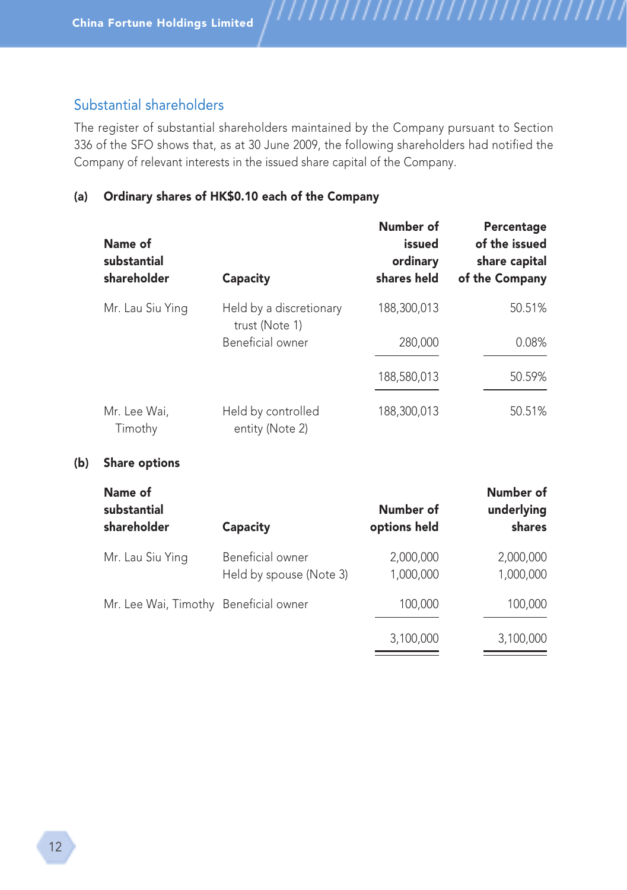# Substantial shareholders

The register of substantial shareholders maintained by the Company pursuant to Section 336 of the SFO shows that, as at 30 June 2009, the following shareholders had notified the Company of relevant interests in the issued share capital of the Company.

,,,,,,,,,,,,,,,,,,,,,,,

## (a) Ordinary shares of HK\$0.10 each of the Company

| Name of<br>substantial<br>shareholder | Capacity                                  | Number of<br>issued<br>ordinary<br>shares held | Percentage<br>of the issued<br>share capital<br>of the Company |
|---------------------------------------|-------------------------------------------|------------------------------------------------|----------------------------------------------------------------|
| Mr. Lau Siu Ying                      | Held by a discretionary<br>trust (Note 1) | 188,300,013                                    | 50.51%                                                         |
|                                       | Beneficial owner                          | 280,000                                        | 0.08%                                                          |
|                                       |                                           | 188,580,013                                    | 50.59%                                                         |
| Mr. Lee Wai,<br>Timothy               | Held by controlled<br>entity (Note 2)     | 188,300,013                                    | 50.51%                                                         |

#### (b) Share options

| Name of<br>substantial<br>shareholder | Capacity                                    | Number of<br>options held | Number of<br>underlying<br>shares |
|---------------------------------------|---------------------------------------------|---------------------------|-----------------------------------|
| Mr. Lau Siu Ying                      | Beneficial owner<br>Held by spouse (Note 3) | 2,000,000<br>1,000,000    | 2,000,000<br>1,000,000            |
| Mr. Lee Wai, Timothy Beneficial owner |                                             | 100,000                   | 100,000                           |
|                                       |                                             | 3,100,000                 | 3,100,000                         |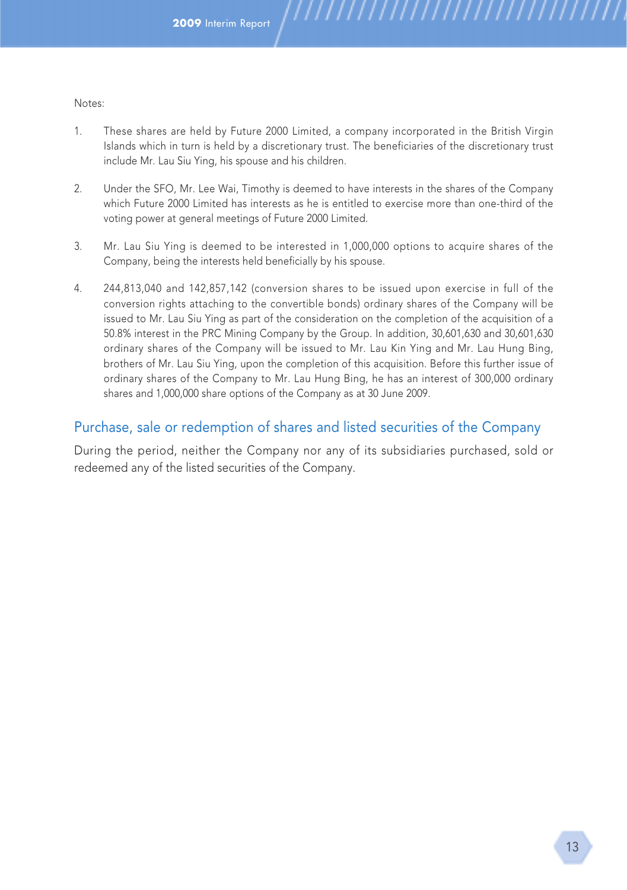Notes:

1. These shares are held by Future 2000 Limited, a company incorporated in the British Virgin Islands which in turn is held by a discretionary trust. The beneficiaries of the discretionary trust include Mr. Lau Siu Ying, his spouse and his children.

,,,,,,,,,,,,,,,,,,,,,,,,,,,,,

- 2. Under the SFO, Mr. Lee Wai, Timothy is deemed to have interests in the shares of the Company which Future 2000 Limited has interests as he is entitled to exercise more than one-third of the voting power at general meetings of Future 2000 Limited.
- 3. Mr. Lau Siu Ying is deemed to be interested in 1,000,000 options to acquire shares of the Company, being the interests held beneficially by his spouse.
- 4. 244,813,040 and 142,857,142 (conversion shares to be issued upon exercise in full of the conversion rights attaching to the convertible bonds) ordinary shares of the Company will be issued to Mr. Lau Siu Ying as part of the consideration on the completion of the acquisition of a 50.8% interest in the PRC Mining Company by the Group. In addition, 30,601,630 and 30,601,630 ordinary shares of the Company will be issued to Mr. Lau Kin Ying and Mr. Lau Hung Bing, brothers of Mr. Lau Siu Ying, upon the completion of this acquisition. Before this further issue of ordinary shares of the Company to Mr. Lau Hung Bing, he has an interest of 300,000 ordinary shares and 1,000,000 share options of the Company as at 30 June 2009.

## Purchase, sale or redemption of shares and listed securities of the Company

During the period, neither the Company nor any of its subsidiaries purchased, sold or redeemed any of the listed securities of the Company.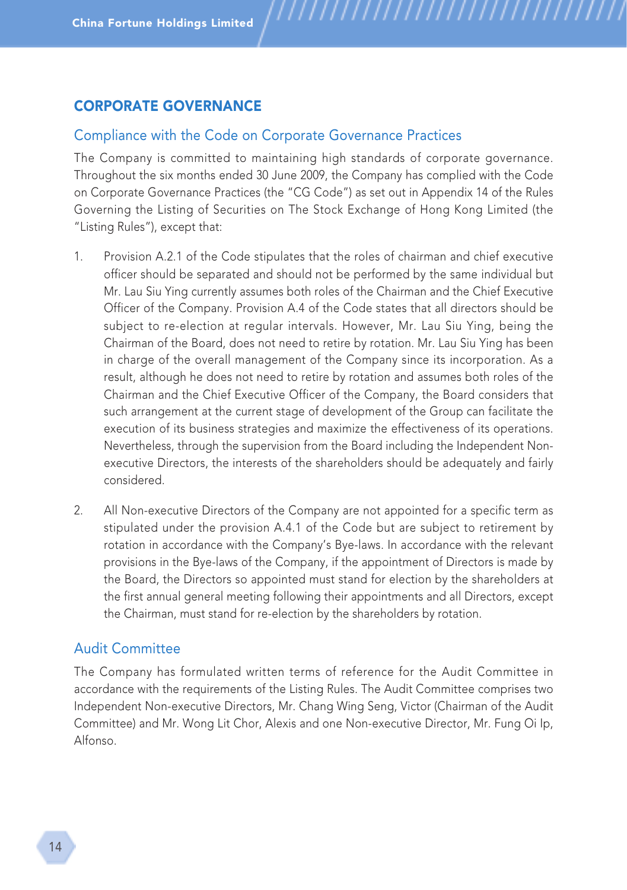# CORPORATE GOVERNANCE

## Compliance with the Code on Corporate Governance Practices

The Company is committed to maintaining high standards of corporate governance. Throughout the six months ended 30 June 2009, the Company has complied with the Code on Corporate Governance Practices (the "CG Code") as set out in Appendix 14 of the Rules Governing the Listing of Securities on The Stock Exchange of Hong Kong Limited (the "Listing Rules"), except that:

,,,,,,,,,,,,,,,,,,,,,,,

- 1. Provision A.2.1 of the Code stipulates that the roles of chairman and chief executive officer should be separated and should not be performed by the same individual but Mr. Lau Siu Ying currently assumes both roles of the Chairman and the Chief Executive Officer of the Company. Provision A.4 of the Code states that all directors should be subject to re-election at regular intervals. However, Mr. Lau Siu Ying, being the Chairman of the Board, does not need to retire by rotation. Mr. Lau Siu Ying has been in charge of the overall management of the Company since its incorporation. As a result, although he does not need to retire by rotation and assumes both roles of the Chairman and the Chief Executive Officer of the Company, the Board considers that such arrangement at the current stage of development of the Group can facilitate the execution of its business strategies and maximize the effectiveness of its operations. Nevertheless, through the supervision from the Board including the Independent Nonexecutive Directors, the interests of the shareholders should be adequately and fairly considered.
- 2. All Non-executive Directors of the Company are not appointed for a specific term as stipulated under the provision A.4.1 of the Code but are subject to retirement by rotation in accordance with the Company's Bye-laws. In accordance with the relevant provisions in the Bye-laws of the Company, if the appointment of Directors is made by the Board, the Directors so appointed must stand for election by the shareholders at the first annual general meeting following their appointments and all Directors, except the Chairman, must stand for re-election by the shareholders by rotation.

## Audit Committee

The Company has formulated written terms of reference for the Audit Committee in accordance with the requirements of the Listing Rules. The Audit Committee comprises two Independent Non-executive Directors, Mr. Chang Wing Seng, Victor (Chairman of the Audit Committee) and Mr. Wong Lit Chor, Alexis and one Non-executive Director, Mr. Fung Oi Ip, Alfonso.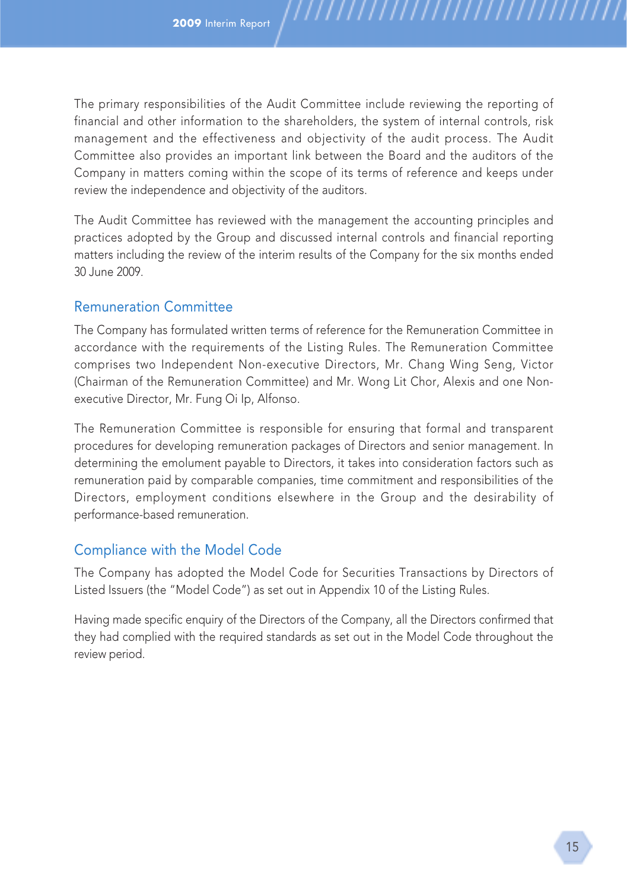The primary responsibilities of the Audit Committee include reviewing the reporting of financial and other information to the shareholders, the system of internal controls, risk management and the effectiveness and objectivity of the audit process. The Audit Committee also provides an important link between the Board and the auditors of the Company in matters coming within the scope of its terms of reference and keeps under review the independence and objectivity of the auditors.

,,,,,,,,,,,,,,,,,,,

The Audit Committee has reviewed with the management the accounting principles and practices adopted by the Group and discussed internal controls and financial reporting matters including the review of the interim results of the Company for the six months ended 30 June 2009.

# Remuneration Committee

The Company has formulated written terms of reference for the Remuneration Committee in accordance with the requirements of the Listing Rules. The Remuneration Committee comprises two Independent Non-executive Directors, Mr. Chang Wing Seng, Victor (Chairman of the Remuneration Committee) and Mr. Wong Lit Chor, Alexis and one Nonexecutive Director, Mr. Fung Oi Ip, Alfonso.

The Remuneration Committee is responsible for ensuring that formal and transparent procedures for developing remuneration packages of Directors and senior management. In determining the emolument payable to Directors, it takes into consideration factors such as remuneration paid by comparable companies, time commitment and responsibilities of the Directors, employment conditions elsewhere in the Group and the desirability of performance-based remuneration.

# Compliance with the Model Code

The Company has adopted the Model Code for Securities Transactions by Directors of Listed Issuers (the "Model Code") as set out in Appendix 10 of the Listing Rules.

Having made specific enquiry of the Directors of the Company, all the Directors confirmed that they had complied with the required standards as set out in the Model Code throughout the review period.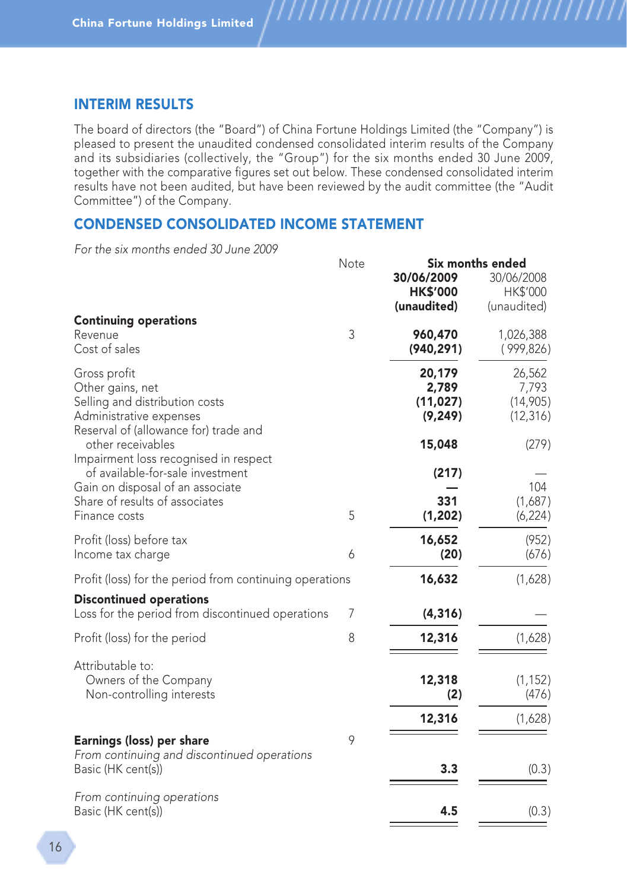## INTERIM RESULTS

The board of directors (the "Board") of China Fortune Holdings Limited (the "Company") is pleased to present the unaudited condensed consolidated interim results of the Company and its subsidiaries (collectively, the "Group") for the six months ended 30 June 2009, together with the comparative figures set out below. These condensed consolidated interim results have not been audited, but have been reviewed by the audit committee (the "Audit Committee") of the Company.

,,,,,,,,,,,,,,,,,,,,,,

# CONDENSED CONSOLIDATED INCOME STATEMENT

For the six months ended 30 June 2009

|                                                                  | Note |                 | Six months ended |
|------------------------------------------------------------------|------|-----------------|------------------|
|                                                                  |      | 30/06/2009      | 30/06/2008       |
|                                                                  |      | <b>HK\$'000</b> | HK\$'000         |
|                                                                  |      | (unaudited)     | (unaudited)      |
| <b>Continuing operations</b>                                     |      |                 |                  |
| Revenue                                                          | 3    | 960,470         | 1,026,388        |
| Cost of sales                                                    |      | (940, 291)      | (999, 826)       |
| Gross profit                                                     |      | 20,179          | 26,562           |
| Other gains, net                                                 |      | 2,789           | 7,793            |
| Selling and distribution costs                                   |      | (11, 027)       | (14,905)         |
|                                                                  |      | (9, 249)        |                  |
| Administrative expenses<br>Reserval of (allowance for) trade and |      |                 | (12, 316)        |
| other receivables                                                |      | 15,048          | (279)            |
| Impairment loss recognised in respect                            |      |                 |                  |
| of available-for-sale investment                                 |      | (217)           |                  |
| Gain on disposal of an associate                                 |      |                 | 104              |
| Share of results of associates                                   |      | 331             | (1,687)          |
| Finance costs                                                    | 5    | (1, 202)        | (6, 224)         |
|                                                                  |      |                 |                  |
| Profit (loss) before tax                                         |      | 16,652          | (952)            |
| Income tax charge                                                | 6    | (20)            | (676)            |
| Profit (loss) for the period from continuing operations          |      | 16,632          | (1,628)          |
| <b>Discontinued operations</b>                                   |      |                 |                  |
| Loss for the period from discontinued operations                 | 7    | (4, 316)        |                  |
| Profit (loss) for the period                                     | 8    | 12,316          | (1,628)          |
|                                                                  |      |                 |                  |
| Attributable to:                                                 |      |                 |                  |
| Owners of the Company                                            |      | 12,318          | (1, 152)         |
| Non-controlling interests                                        |      | (2)             | (476)            |
|                                                                  |      | 12,316          | (1,628)          |
| Earnings (loss) per share                                        | 9    |                 |                  |
| From continuing and discontinued operations                      |      |                 |                  |
|                                                                  |      | 3.3             |                  |
| Basic (HK cent(s))                                               |      |                 | (0.3)            |
| From continuing operations                                       |      |                 |                  |
| Basic (HK cent(s))                                               |      | 4.5             | (0.3)            |
|                                                                  |      |                 |                  |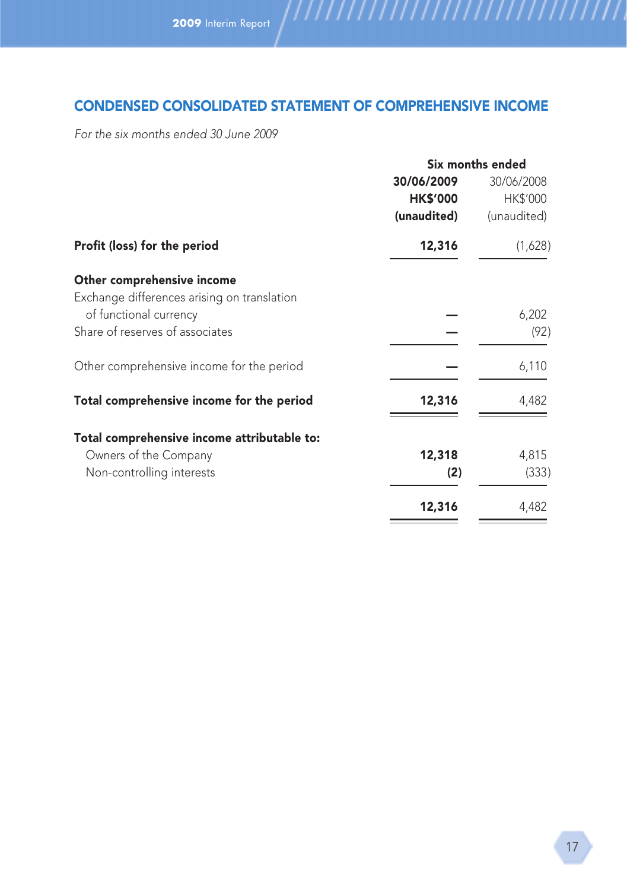# CONDENSED CONSOLIDATED STATEMENT OF COMPREHENSIVE INCOME

For the six months ended 30 June 2009

|                                             | Six months ended |             |  |
|---------------------------------------------|------------------|-------------|--|
|                                             | 30/06/2009       | 30/06/2008  |  |
|                                             | <b>HK\$'000</b>  | HK\$'000    |  |
|                                             | (unaudited)      | (unaudited) |  |
| Profit (loss) for the period                | 12,316           | (1,628)     |  |
| Other comprehensive income                  |                  |             |  |
| Exchange differences arising on translation |                  |             |  |
| of functional currency                      |                  | 6,202       |  |
| Share of reserves of associates             |                  | (92)        |  |
| Other comprehensive income for the period   |                  | 6,110       |  |
| Total comprehensive income for the period   | 12,316           | 4,482       |  |
| Total comprehensive income attributable to: |                  |             |  |
| Owners of the Company                       | 12,318           | 4,815       |  |
| Non-controlling interests                   | (2)              | (333)       |  |
|                                             | 12,316           | 4,482       |  |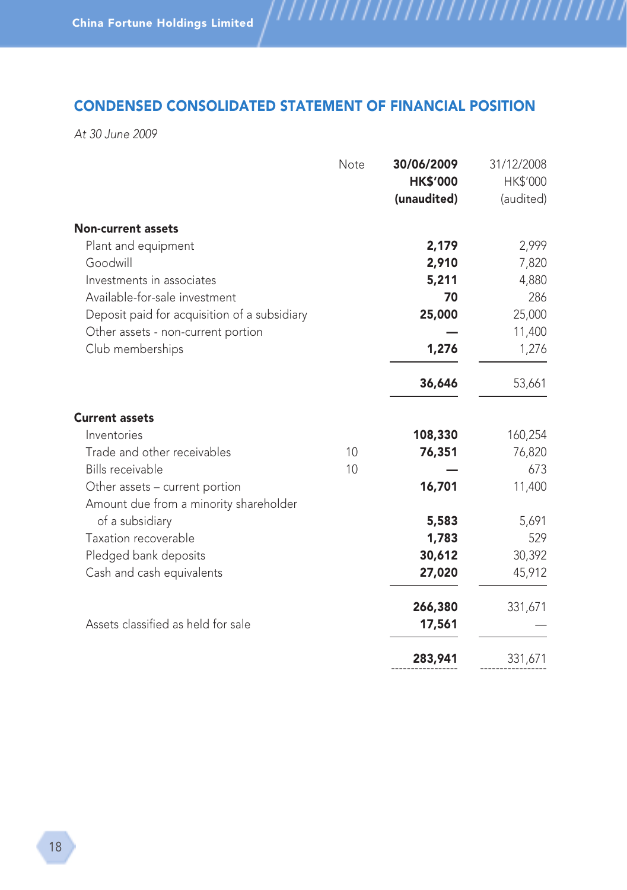# CONDENSED CONSOLIDATED STATEMENT OF FINANCIAL POSITION

,,,,,,,,,,,,,,,,,,,,,,,,,,,,,,,,,

At 30 June 2009

|                                              | Note | 30/06/2009<br><b>HK\$'000</b><br>(unaudited) | 31/12/2008<br>HK\$'000<br>(audited) |
|----------------------------------------------|------|----------------------------------------------|-------------------------------------|
| <b>Non-current assets</b>                    |      |                                              |                                     |
| Plant and equipment                          |      | 2,179                                        | 2,999                               |
| Goodwill                                     |      | 2,910                                        | 7,820                               |
| Investments in associates                    |      | 5,211                                        | 4,880                               |
| Available-for-sale investment                |      | 70                                           | 286                                 |
| Deposit paid for acquisition of a subsidiary |      | 25,000                                       | 25,000                              |
| Other assets - non-current portion           |      |                                              | 11,400                              |
| Club memberships                             |      | 1,276                                        | 1,276                               |
|                                              |      | 36,646                                       | 53,661                              |
| <b>Current assets</b>                        |      |                                              |                                     |
| Inventories                                  |      | 108,330                                      | 160,254                             |
| Trade and other receivables                  | 10   | 76,351                                       | 76,820                              |
| Bills receivable                             | 10   |                                              | 673                                 |
| Other assets – current portion               |      | 16,701                                       | 11,400                              |
| Amount due from a minority shareholder       |      |                                              |                                     |
| of a subsidiary                              |      | 5,583                                        | 5,691                               |
| Taxation recoverable                         |      | 1,783                                        | 529                                 |
| Pledged bank deposits                        |      | 30,612                                       | 30,392                              |
| Cash and cash equivalents                    |      | 27,020                                       | 45,912                              |
|                                              |      | 266,380                                      | 331,671                             |
| Assets classified as held for sale           |      | 17,561                                       |                                     |
|                                              |      | 283,941                                      | 331,671                             |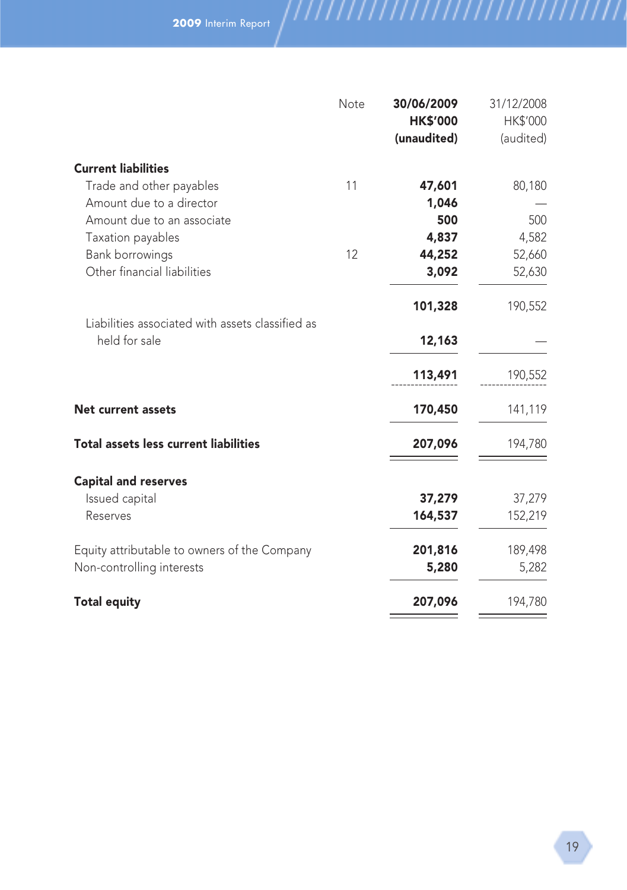|                                                                   | Note | 30/06/2009<br><b>HK\$'000</b> | 31/12/2008<br>HK\$'000 |
|-------------------------------------------------------------------|------|-------------------------------|------------------------|
|                                                                   |      | (unaudited)                   | (audited)              |
| <b>Current liabilities</b>                                        |      |                               |                        |
| Trade and other payables                                          | 11   | 47,601                        | 80,180                 |
| Amount due to a director                                          |      | 1,046                         |                        |
| Amount due to an associate                                        |      | 500                           | 500                    |
| Taxation payables                                                 |      | 4,837                         | 4,582                  |
| <b>Bank borrowings</b>                                            | 12   | 44,252                        | 52,660                 |
| Other financial liabilities                                       |      | 3,092                         | 52,630                 |
|                                                                   |      | 101,328                       | 190,552                |
| Liabilities associated with assets classified as<br>held for sale |      | 12,163                        |                        |
|                                                                   |      | 113,491                       | 190,552                |
| <b>Net current assets</b>                                         |      | 170,450                       | 141,119                |
| <b>Total assets less current liabilities</b>                      |      | 207,096                       | 194,780                |
| <b>Capital and reserves</b>                                       |      |                               |                        |
| Issued capital                                                    |      | 37,279                        | 37,279                 |
| Reserves                                                          |      | 164,537                       | 152,219                |
| Equity attributable to owners of the Company                      |      | 201,816                       | 189,498                |
| Non-controlling interests                                         |      | 5,280                         | 5,282                  |
| <b>Total equity</b>                                               |      | 207,096                       | 194,780                |
|                                                                   |      |                               |                        |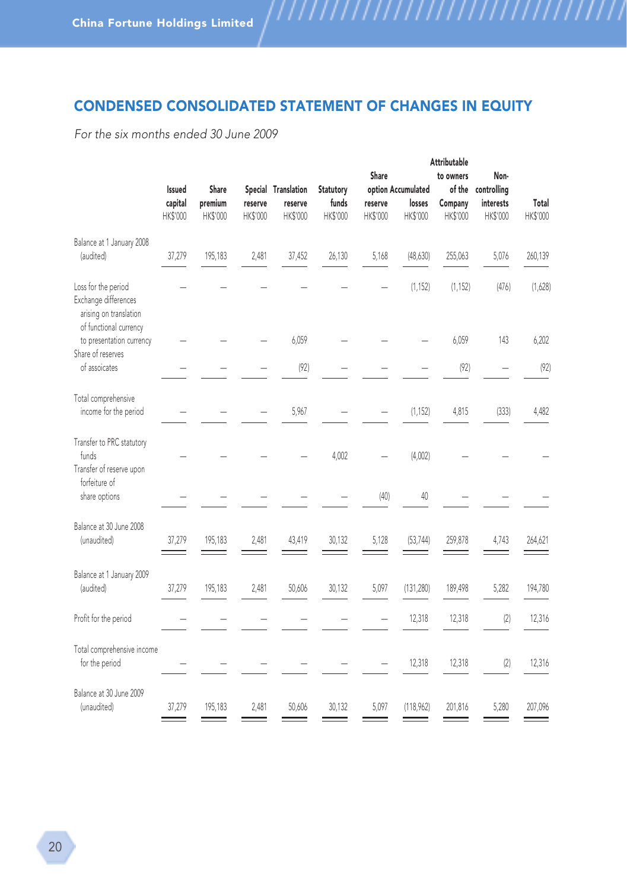# CONDENSED CONSOLIDATED STATEMENT OF CHANGES IN EQUITY

,,,,,,,,,,,,,,,,,,,,,,,,,,,,,,,,

For the six months ended 30 June 2009

|                                                                                                 | Attributable                  |                              |                     |                                            |                                |                              |                                          |                                            |                                              |                          |
|-------------------------------------------------------------------------------------------------|-------------------------------|------------------------------|---------------------|--------------------------------------------|--------------------------------|------------------------------|------------------------------------------|--------------------------------------------|----------------------------------------------|--------------------------|
|                                                                                                 | Issued<br>capital<br>HK\$'000 | Share<br>premium<br>HK\$'000 | reserve<br>HK\$'000 | Special Translation<br>reserve<br>HK\$'000 | Statutory<br>funds<br>HK\$'000 | Share<br>reserve<br>HK\$'000 | option Accumulated<br>losses<br>HK\$'000 | to owners<br>of the<br>Company<br>HK\$'000 | Non-<br>controlling<br>interests<br>HK\$'000 | Total<br><b>HK\$'000</b> |
| Balance at 1 January 2008<br>(audited)                                                          | 37,279                        | 195,183                      | 2,481               | 37,452                                     | 26,130                         | 5,168                        | (48, 630)                                | 255,063                                    | 5,076                                        | 260,139                  |
| Loss for the period<br>Exchange differences<br>arising on translation<br>of functional currency |                               |                              |                     |                                            |                                |                              | (1, 152)                                 | (1, 152)                                   | (476)                                        | (1,628)                  |
| to presentation currency                                                                        |                               |                              |                     | 6,059                                      |                                |                              |                                          | 6,059                                      | 143                                          | 6,202                    |
| Share of reserves<br>of assoicates                                                              |                               |                              |                     | (92)                                       |                                |                              |                                          | (92)                                       |                                              | (92)                     |
| Total comprehensive<br>income for the period                                                    |                               |                              |                     | 5,967                                      |                                |                              | (1, 152)                                 | 4,815                                      | (333)                                        | 4,482                    |
| Transfer to PRC statutory<br>funds<br>Transfer of reserve upon                                  |                               |                              |                     |                                            | 4,002                          |                              | (4,002)                                  |                                            |                                              |                          |
| forfeiture of<br>share options                                                                  |                               |                              |                     |                                            |                                | (40)                         | 40                                       |                                            |                                              |                          |
| Balance at 30 June 2008<br>(unaudited)                                                          | 37,279                        | 195,183                      | 2,481               | 43,419                                     | 30,132                         | 5,128                        | (53, 744)                                | 259,878                                    | 4,743                                        | 264,621                  |
| Balance at 1 January 2009<br>(audited)                                                          | 37,279                        | 195,183                      | 2,481               | 50,606                                     | 30,132                         | 5,097                        | (131, 280)                               | 189,498                                    | 5,282                                        | 194,780                  |
| Profit for the period                                                                           |                               |                              |                     |                                            |                                |                              | 12,318                                   | 12,318                                     | (2)                                          | 12,316                   |
| Total comprehensive income<br>for the period                                                    |                               |                              |                     |                                            |                                |                              | 12,318                                   | 12,318                                     | (2)                                          | 12,316                   |
| Balance at 30 June 2009<br>(unaudited)                                                          | 37,279                        | 195,183                      | 2,481               | 50,606                                     | 30,132                         | 5,097                        | (118,962)                                | 201,816                                    | 5,280                                        | 207,096                  |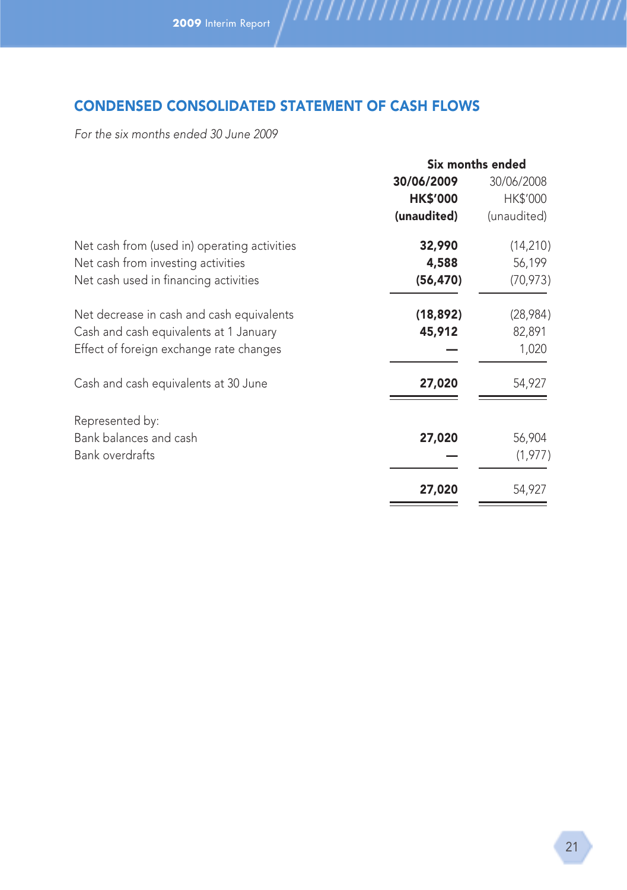# CONDENSED CONSOLIDATED STATEMENT OF CASH FLOWS

For the six months ended 30 June 2009

|                                              | Six months ended |             |  |
|----------------------------------------------|------------------|-------------|--|
|                                              | 30/06/2009       | 30/06/2008  |  |
|                                              | <b>HK\$'000</b>  | HK\$'000    |  |
|                                              | (unaudited)      | (unaudited) |  |
| Net cash from (used in) operating activities | 32,990           | (14, 210)   |  |
| Net cash from investing activities           | 4,588            | 56,199      |  |
| Net cash used in financing activities        | (56, 470)        | (70, 973)   |  |
| Net decrease in cash and cash equivalents    | (18, 892)        | (28,984)    |  |
| Cash and cash equivalents at 1 January       | 45,912           | 82,891      |  |
| Effect of foreign exchange rate changes      |                  | 1,020       |  |
| Cash and cash equivalents at 30 June         | 27,020           | 54,927      |  |
| Represented by:                              |                  |             |  |
| Bank balances and cash                       | 27,020           | 56,904      |  |
| <b>Bank overdrafts</b>                       |                  | (1, 977)    |  |
|                                              | 27,020           | 54,927      |  |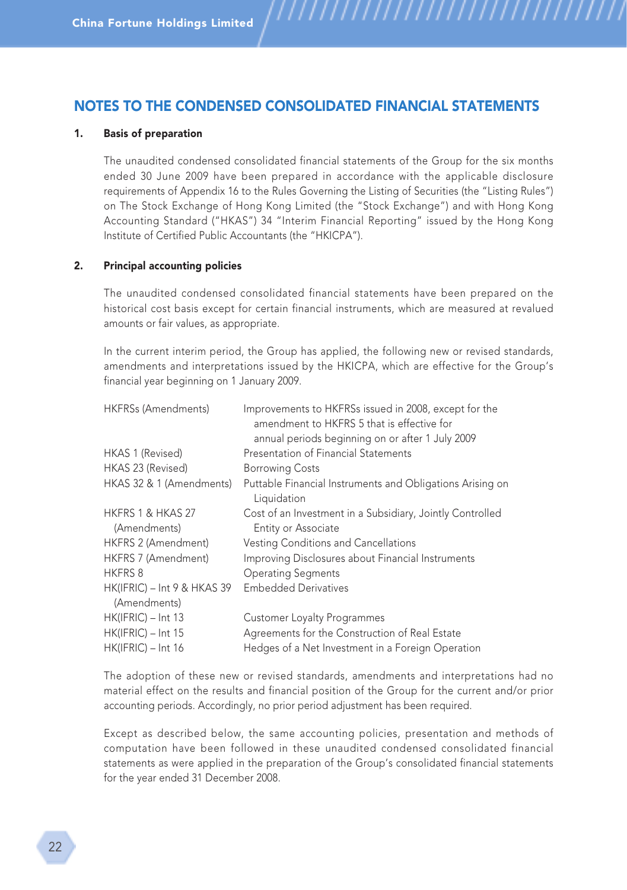# NOTES TO THE CONDENSED CONSOLIDATED FINANCIAL STATEMENTS

#### 1. Basis of preparation

The unaudited condensed consolidated financial statements of the Group for the six months ended 30 June 2009 have been prepared in accordance with the applicable disclosure requirements of Appendix 16 to the Rules Governing the Listing of Securities (the "Listing Rules") on The Stock Exchange of Hong Kong Limited (the "Stock Exchange") and with Hong Kong Accounting Standard ("HKAS") 34 "Interim Financial Reporting" issued by the Hong Kong Institute of Certified Public Accountants (the "HKICPA").

,,,,,,,,,,,,,,,,,,,,

#### 2. Principal accounting policies

The unaudited condensed consolidated financial statements have been prepared on the historical cost basis except for certain financial instruments, which are measured at revalued amounts or fair values, as appropriate.

In the current interim period, the Group has applied, the following new or revised standards, amendments and interpretations issued by the HKICPA, which are effective for the Group's financial year beginning on 1 January 2009.

| HKFRSs (Amendments)               | Improvements to HKFRSs issued in 2008, except for the<br>amendment to HKFRS 5 that is effective for |
|-----------------------------------|-----------------------------------------------------------------------------------------------------|
|                                   | annual periods beginning on or after 1 July 2009                                                    |
| HKAS 1 (Revised)                  | Presentation of Financial Statements                                                                |
| HKAS 23 (Revised)                 | <b>Borrowing Costs</b>                                                                              |
| HKAS 32 & 1 (Amendments)          | Puttable Financial Instruments and Obligations Arising on<br>Liquidation                            |
| HKFRS 1 & HKAS 27<br>(Amendments) | Cost of an Investment in a Subsidiary, Jointly Controlled<br>Entity or Associate                    |
| HKFRS 2 (Amendment)               | Vesting Conditions and Cancellations                                                                |
| HKFRS 7 (Amendment)               | Improving Disclosures about Financial Instruments                                                   |
| <b>HKFRS 8</b>                    | <b>Operating Segments</b>                                                                           |
| HK(IFRIC) - Int 9 & HKAS 39       | <b>Embedded Derivatives</b>                                                                         |
| (Amendments)                      |                                                                                                     |
| $HK(IFRIC) - Int 13$              | <b>Customer Loyalty Programmes</b>                                                                  |
| HK(IFRIC) - Int 15                | Agreements for the Construction of Real Estate                                                      |
| $HK(IFRIC) - Int 16$              | Hedges of a Net Investment in a Foreign Operation                                                   |

The adoption of these new or revised standards, amendments and interpretations had no material effect on the results and financial position of the Group for the current and/or prior accounting periods. Accordingly, no prior period adjustment has been required.

Except as described below, the same accounting policies, presentation and methods of computation have been followed in these unaudited condensed consolidated financial statements as were applied in the preparation of the Group's consolidated financial statements for the year ended 31 December 2008.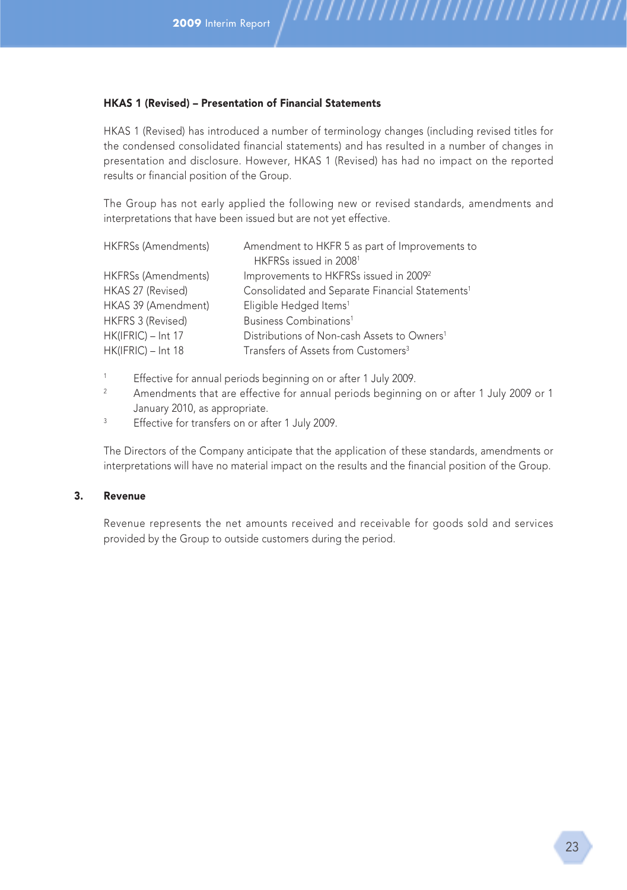#### HKAS 1 (Revised) – Presentation of Financial Statements

HKAS 1 (Revised) has introduced a number of terminology changes (including revised titles for the condensed consolidated financial statements) and has resulted in a number of changes in presentation and disclosure. However, HKAS 1 (Revised) has had no impact on the reported results or financial position of the Group.

The Group has not early applied the following new or revised standards, amendments and interpretations that have been issued but are not yet effective.

| <b>HKFRSs (Amendments)</b> | Amendment to HKFR 5 as part of Improvements to<br>HKFRSs issued in 2008 <sup>1</sup> |
|----------------------------|--------------------------------------------------------------------------------------|
| <b>HKFRSs (Amendments)</b> | Improvements to HKFRSs issued in 2009 <sup>2</sup>                                   |
| HKAS 27 (Revised)          | Consolidated and Separate Financial Statements <sup>1</sup>                          |
| HKAS 39 (Amendment)        | Eligible Hedged Items <sup>1</sup>                                                   |
| HKFRS 3 (Revised)          | Business Combinations <sup>1</sup>                                                   |
| HK(IFRIC) - Int 17         | Distributions of Non-cash Assets to Owners <sup>1</sup>                              |
| HK(IFRIC) - Int 18         | Transfers of Assets from Customers <sup>3</sup>                                      |

<sup>1</sup> Effective for annual periods beginning on or after 1 July 2009.

- <sup>2</sup> Amendments that are effective for annual periods beginning on or after 1 July 2009 or 1 January 2010, as appropriate.
- <sup>3</sup> Effective for transfers on or after 1 July 2009.

The Directors of the Company anticipate that the application of these standards, amendments or interpretations will have no material impact on the results and the financial position of the Group.

#### 3. Revenue

Revenue represents the net amounts received and receivable for goods sold and services provided by the Group to outside customers during the period.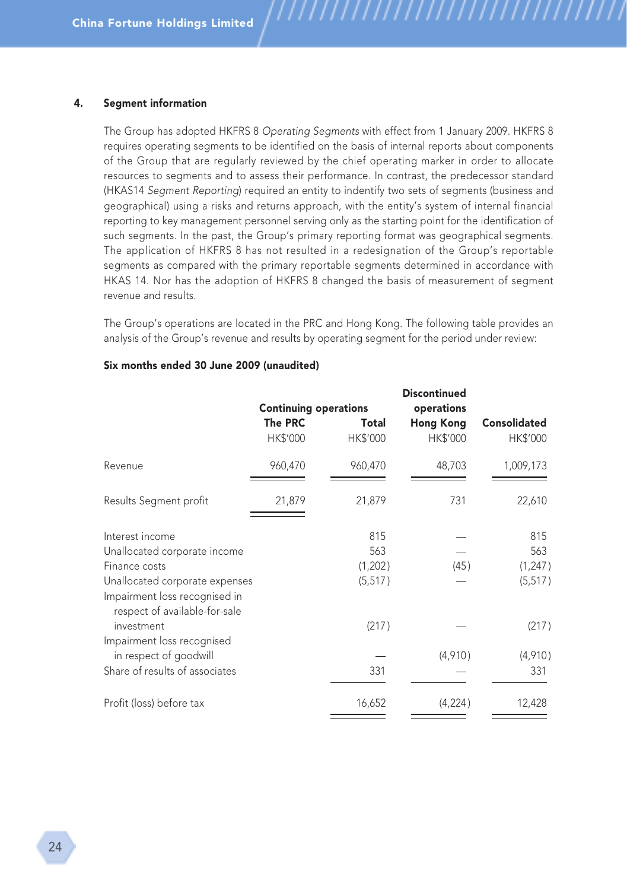#### 4. Segment information

The Group has adopted HKFRS 8 Operating Segments with effect from 1 January 2009. HKFRS 8 requires operating segments to be identified on the basis of internal reports about components of the Group that are regularly reviewed by the chief operating marker in order to allocate resources to segments and to assess their performance. In contrast, the predecessor standard (HKAS14 Segment Reporting) required an entity to indentify two sets of segments (business and geographical) using a risks and returns approach, with the entity's system of internal financial reporting to key management personnel serving only as the starting point for the identification of such segments. In the past, the Group's primary reporting format was geographical segments. The application of HKFRS 8 has not resulted in a redesignation of the Group's reportable segments as compared with the primary reportable segments determined in accordance with HKAS 14. Nor has the adoption of HKFRS 8 changed the basis of measurement of segment revenue and results.

,,,,,,,,,,,,,,,,,,

The Group's operations are located in the PRC and Hong Kong. The following table provides an analysis of the Group's revenue and results by operating segment for the period under review:

|                                                                | <b>Continuing operations</b> |                   | Discontinued<br>operations   |                                 |
|----------------------------------------------------------------|------------------------------|-------------------|------------------------------|---------------------------------|
|                                                                | <b>The PRC</b><br>HK\$'000   | Total<br>HK\$'000 | <b>Hong Kong</b><br>HK\$'000 | <b>Consolidated</b><br>HK\$'000 |
| Revenue                                                        | 960,470                      | 960,470           | 48,703                       | 1,009,173                       |
| Results Segment profit                                         | 21,879                       | 21,879            | 731                          | 22,610                          |
| Interest income                                                |                              | 815               |                              | 815                             |
| Unallocated corporate income                                   |                              | 563               |                              | 563                             |
| Finance costs                                                  |                              | (1,202)           | (45)                         | (1, 247)                        |
| Unallocated corporate expenses                                 |                              | (5, 517)          |                              | (5, 517)                        |
| Impairment loss recognised in<br>respect of available-for-sale |                              |                   |                              |                                 |
| investment                                                     |                              | (217)             |                              | (217)                           |
| Impairment loss recognised                                     |                              |                   |                              |                                 |
| in respect of goodwill                                         |                              |                   | (4,910)                      | (4,910)                         |
| Share of results of associates                                 |                              | 331               |                              | 331                             |
| Profit (loss) before tax                                       |                              | 16,652            | (4,224)                      | 12,428                          |
|                                                                |                              |                   |                              |                                 |

#### Six months ended 30 June 2009 (unaudited)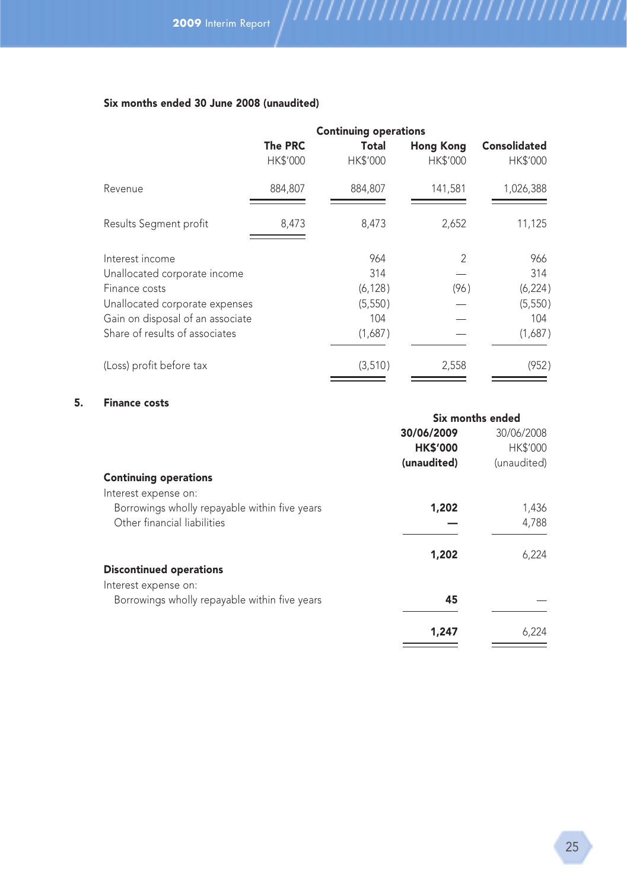## Six months ended 30 June 2008 (unaudited)

|                                  | <b>Continuing operations</b> |                   |                              |                                        |
|----------------------------------|------------------------------|-------------------|------------------------------|----------------------------------------|
|                                  | The PRC<br><b>HK\$'000</b>   | Total<br>HK\$'000 | <b>Hong Kong</b><br>HK\$'000 | <b>Consolidated</b><br><b>HK\$'000</b> |
| Revenue                          | 884.807                      | 884.807           | 141,581                      | 1,026,388                              |
| Results Segment profit           | 8,473                        | 8,473             | 2,652                        | 11,125                                 |
| Interest income                  |                              | 964               | $\overline{\phantom{a}}$     | 966                                    |
| Unallocated corporate income     |                              | 314               |                              | 314                                    |
| Finance costs                    |                              | (6, 128)          | (96)                         | (6, 224)                               |
| Unallocated corporate expenses   |                              | (5,550)           |                              | (5, 550)                               |
| Gain on disposal of an associate |                              | 104               |                              | 104                                    |
| Share of results of associates   |                              | (1,687)           |                              | (1,687)                                |
| (Loss) profit before tax         |                              | (3,510)           | 2,558                        | (952)                                  |
|                                  |                              |                   |                              |                                        |

#### 5. Finance costs

|                                               | Six months ended |                 |
|-----------------------------------------------|------------------|-----------------|
|                                               | 30/06/2009       | 30/06/2008      |
|                                               | <b>HK\$'000</b>  | <b>HK\$'000</b> |
|                                               | (unaudited)      | (unaudited)     |
| <b>Continuing operations</b>                  |                  |                 |
| Interest expense on:                          |                  |                 |
| Borrowings wholly repayable within five years | 1,202            | 1,436           |
| Other financial liabilities                   |                  | 4,788           |
|                                               | 1,202            | 6,224           |
| <b>Discontinued operations</b>                |                  |                 |
| Interest expense on:                          |                  |                 |
| Borrowings wholly repayable within five years | 45               |                 |
|                                               | 1,247            | 6,224           |

 $\overbrace{\hspace{25mm}}^{}$ 

 $\overline{\phantom{a}}$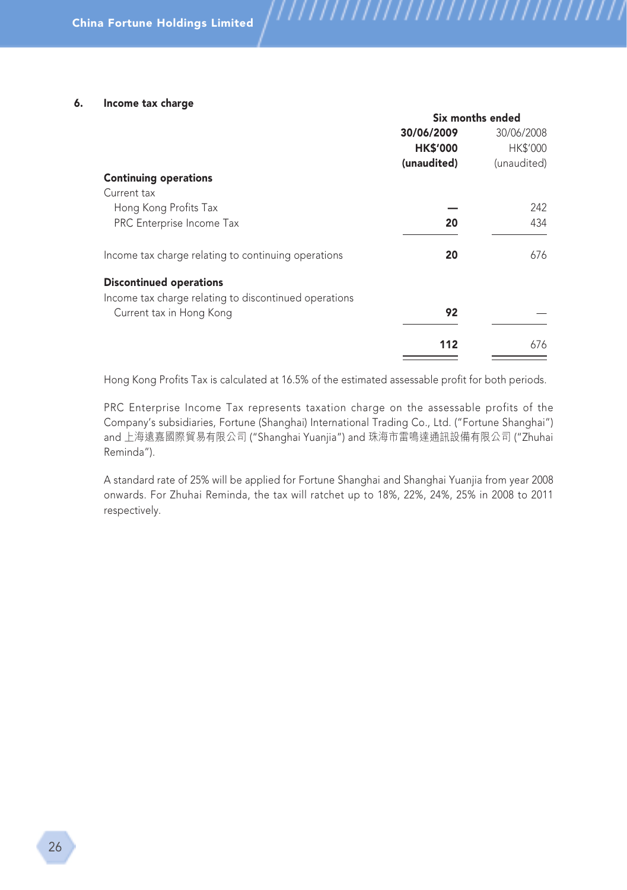#### 6. Income tax charge

|                                                       | Six months ended |                 |
|-------------------------------------------------------|------------------|-----------------|
|                                                       | 30/06/2009       | 30/06/2008      |
|                                                       | <b>HK\$'000</b>  | <b>HK\$'000</b> |
|                                                       | (unaudited)      | (unaudited)     |
| <b>Continuing operations</b>                          |                  |                 |
| Current tax                                           |                  |                 |
| Hong Kong Profits Tax                                 |                  | 242             |
| PRC Enterprise Income Tax                             | 20               | 434             |
| Income tax charge relating to continuing operations   | 20               | 676             |
| <b>Discontinued operations</b>                        |                  |                 |
| Income tax charge relating to discontinued operations |                  |                 |
| Current tax in Hong Kong                              | 92               |                 |
|                                                       | 112              | 676             |
|                                                       |                  |                 |

///////

,,,,,,,,,,,,,,,,,,,,,,,

Hong Kong Profits Tax is calculated at 16.5% of the estimated assessable profit for both periods.

PRC Enterprise Income Tax represents taxation charge on the assessable profits of the Company's subsidiaries, Fortune (Shanghai) International Trading Co., Ltd. ("Fortune Shanghai") and 上海遠嘉國際貿易有限公司 ("Shanghai Yuanjia") and 珠海市雷鳴達通訊設備有限公司 ("Zhuhai Reminda").

A standard rate of 25% will be applied for Fortune Shanghai and Shanghai Yuanjia from year 2008 onwards. For Zhuhai Reminda, the tax will ratchet up to 18%, 22%, 24%, 25% in 2008 to 2011 respectively.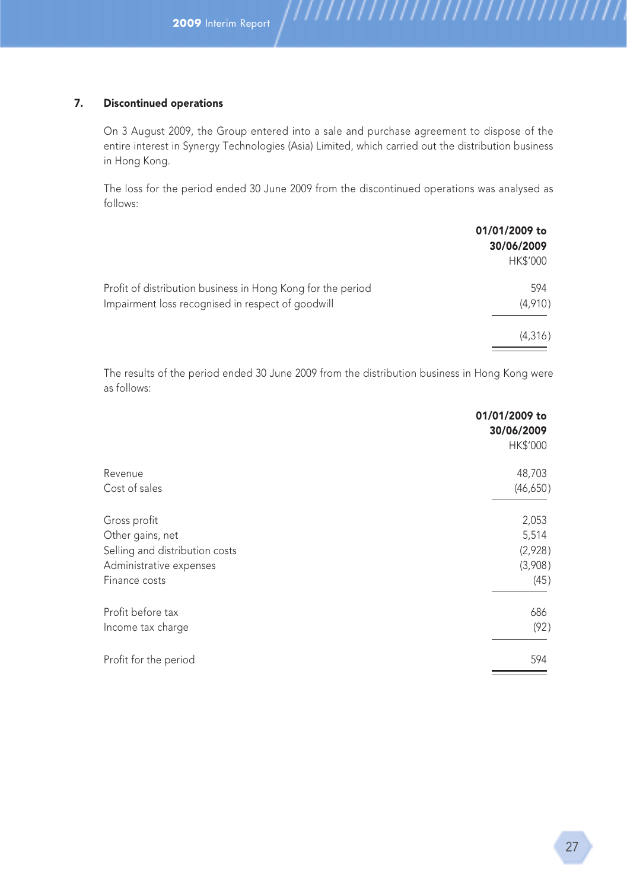#### 7. Discontinued operations

On 3 August 2009, the Group entered into a sale and purchase agreement to dispose of the entire interest in Synergy Technologies (Asia) Limited, which carried out the distribution business in Hong Kong.

The loss for the period ended 30 June 2009 from the discontinued operations was analysed as follows:

|                                                                                                                  | 01/01/2009 to<br>30/06/2009<br><b>HK\$'000</b> |
|------------------------------------------------------------------------------------------------------------------|------------------------------------------------|
| Profit of distribution business in Hong Kong for the period<br>Impairment loss recognised in respect of goodwill | 594<br>(4,910)                                 |
|                                                                                                                  | (4,316)                                        |

The results of the period ended 30 June 2009 from the distribution business in Hong Kong were as follows:

|                                | 01/01/2009 to<br>30/06/2009<br>HK\$'000 |
|--------------------------------|-----------------------------------------|
|                                |                                         |
| Revenue                        | 48,703                                  |
| Cost of sales                  | (46,650)                                |
| Gross profit                   | 2,053                                   |
| Other gains, net               | 5,514                                   |
| Selling and distribution costs | (2,928)                                 |
| Administrative expenses        | (3,908)                                 |
| Finance costs                  | (45)                                    |
| Profit before tax              | 686                                     |
| Income tax charge              | (92)                                    |
| Profit for the period          | 594                                     |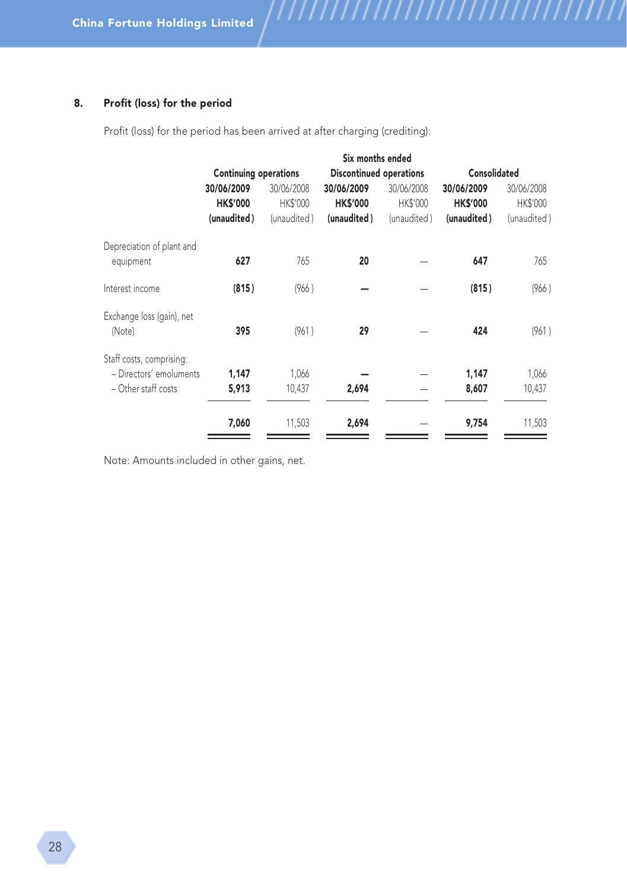#### 8. Profit (loss) for the period

Profit (loss) for the period has been arrived at after charging (crediting):

|                                                                              | Six months ended                             |                                       |                                              |                                       |                                              |                                       |
|------------------------------------------------------------------------------|----------------------------------------------|---------------------------------------|----------------------------------------------|---------------------------------------|----------------------------------------------|---------------------------------------|
|                                                                              | <b>Continuing operations</b>                 |                                       | <b>Discontinued operations</b>               |                                       | Consolidated                                 |                                       |
|                                                                              | 30/06/2009<br><b>HK\$'000</b><br>(unaudited) | 30/06/2008<br>HK\$'000<br>(unaudited) | 30/06/2009<br><b>HK\$'000</b><br>(unaudited) | 30/06/2008<br>HK\$'000<br>(unaudited) | 30/06/2009<br><b>HK\$'000</b><br>(unaudited) | 30/06/2008<br>HK\$'000<br>(unaudited) |
| Depreciation of plant and<br>equipment                                       | 627                                          | 765                                   | 20                                           |                                       | 647                                          | 765                                   |
| Interest income                                                              | (815)                                        | (966)                                 |                                              |                                       | (815)                                        | (966)                                 |
| Exchange loss (gain), net<br>(Note)                                          | 395                                          | (961)                                 | 29                                           |                                       | 424                                          | (961)                                 |
| Staff costs, comprising:<br>- Directors' emoluments<br>$-$ Other staff costs | 1,147<br>5,913                               | 1,066<br>10,437                       | 2,694                                        |                                       | 1,147<br>8,607                               | 1,066<br>10,437                       |
|                                                                              | 7,060                                        | 11,503                                | 2,694                                        |                                       | 9,754                                        | 11,503                                |

,,,,,,,,,,,,,,,,,,,,,,,,,,,,,,,,

Note: Amounts included in other gains, net.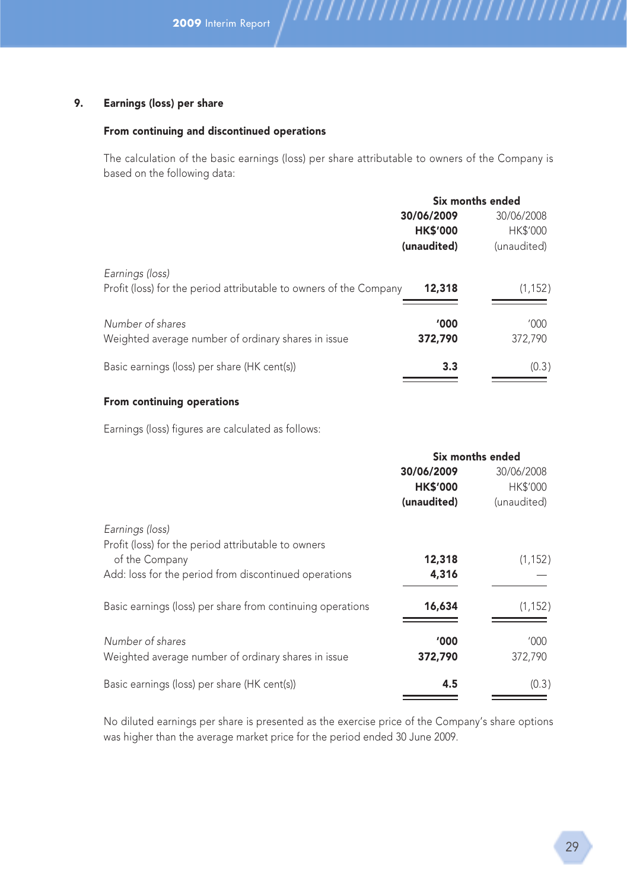#### 9. Earnings (loss) per share

#### From continuing and discontinued operations

The calculation of the basic earnings (loss) per share attributable to owners of the Company is based on the following data:

|                                                                                       |                 | Six months ended |  |
|---------------------------------------------------------------------------------------|-----------------|------------------|--|
|                                                                                       | 30/06/2009      | 30/06/2008       |  |
|                                                                                       | <b>HK\$'000</b> | <b>HK\$'000</b>  |  |
|                                                                                       | (unaudited)     | (unaudited)      |  |
| Earnings (loss)<br>Profit (loss) for the period attributable to owners of the Company | 12,318          | (1, 152)         |  |
|                                                                                       |                 |                  |  |
| Number of shares                                                                      | '000'           | '000             |  |
| Weighted average number of ordinary shares in issue                                   | 372,790         | 372,790          |  |
| Basic earnings (loss) per share (HK cent(s))                                          | 3.3             | (0.3)            |  |
|                                                                                       |                 |                  |  |

#### From continuing operations

Earnings (loss) figures are calculated as follows:

|                                                            | Six months ended |                 |
|------------------------------------------------------------|------------------|-----------------|
|                                                            | 30/06/2009       | 30/06/2008      |
|                                                            | <b>HK\$'000</b>  | <b>HK\$'000</b> |
|                                                            | (unaudited)      | (unaudited)     |
| Earnings (loss)                                            |                  |                 |
| Profit (loss) for the period attributable to owners        |                  |                 |
| of the Company                                             | 12,318           | (1, 152)        |
| Add: loss for the period from discontinued operations      | 4,316            |                 |
| Basic earnings (loss) per share from continuing operations | 16,634           | (1, 152)        |
| Number of shares                                           | '000             | '000            |
| Weighted average number of ordinary shares in issue        | 372,790          | 372,790         |
| Basic earnings (loss) per share (HK cent(s))               | 4.5              | (0.3)           |
|                                                            |                  |                 |

No diluted earnings per share is presented as the exercise price of the Company's share options was higher than the average market price for the period ended 30 June 2009.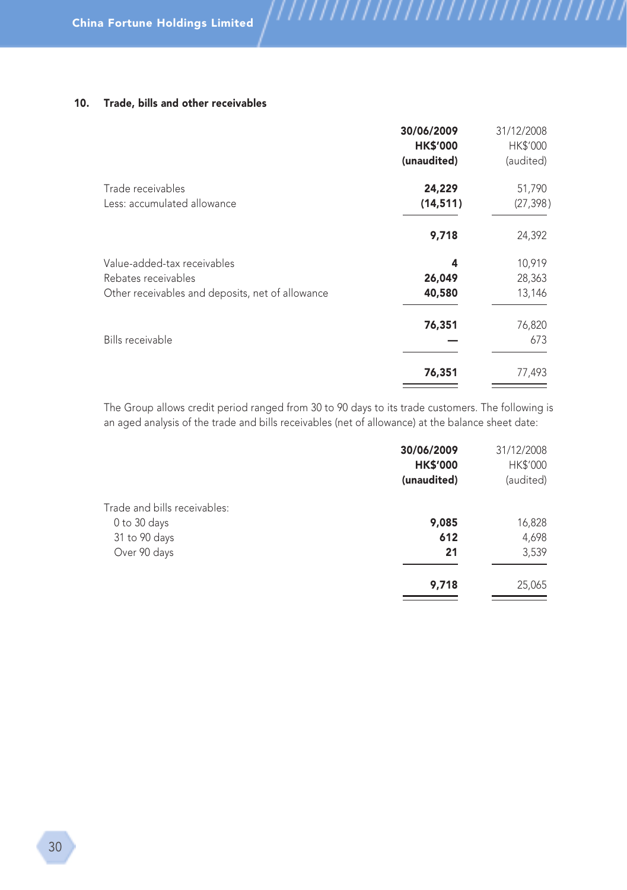#### 10. Trade, bills and other receivables

| 30/06/2009      | 31/12/2008 |
|-----------------|------------|
| <b>HK\$'000</b> | HK\$'000   |
| (unaudited)     | (audited)  |
| 24,229          | 51,790     |
| (14, 511)       | (27, 398)  |
| 9,718           | 24,392     |
| 4               | 10,919     |
| 26,049          | 28,363     |
| 40,580          | 13,146     |
| 76,351          | 76,820     |
|                 | 673        |
| 76,351          | 77,493     |
|                 |            |

,,,,,,,,,,,,,,,,,,,,,,,,,,,,,,,,

The Group allows credit period ranged from 30 to 90 days to its trade customers. The following is an aged analysis of the trade and bills receivables (net of allowance) at the balance sheet date:

|                              | 30/06/2009<br><b>HK\$'000</b><br>(unaudited) | 31/12/2008<br>HK\$'000<br>(audited) |
|------------------------------|----------------------------------------------|-------------------------------------|
|                              |                                              |                                     |
| Trade and bills receivables: |                                              |                                     |
| 0 to 30 days                 | 9,085                                        | 16,828                              |
| 31 to 90 days                | 612                                          | 4,698                               |
| Over 90 days                 | 21                                           | 3,539                               |
|                              | 9,718                                        | 25,065                              |
|                              |                                              |                                     |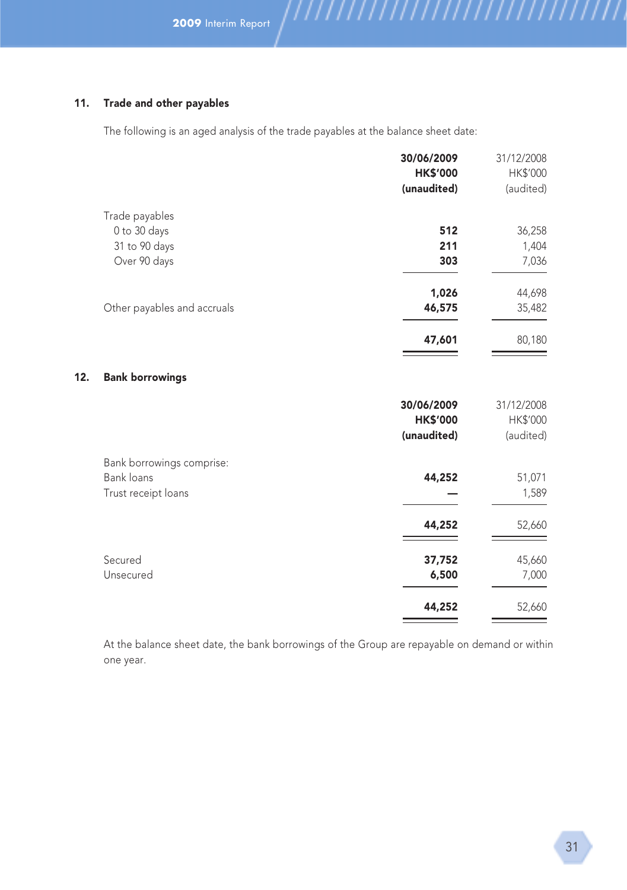#### 11. Trade and other payables

 $12.$ 

The following is an aged analysis of the trade payables at the balance sheet date:

,,,,,,,,,,,,,,,,,,,,,,,,,,,,,,,,

|                             | 30/06/2009      | 31/12/2008 |
|-----------------------------|-----------------|------------|
|                             | <b>HK\$'000</b> | HK\$'000   |
|                             | (unaudited)     | (audited)  |
| Trade payables              |                 |            |
| 0 to 30 days                | 512             | 36,258     |
| 31 to 90 days               | 211             | 1,404      |
| Over 90 days                | 303             | 7,036      |
|                             | 1,026           | 44,698     |
| Other payables and accruals | 46,575          | 35,482     |
|                             | 47,601          | 80,180     |
| <b>Bank borrowings</b>      |                 |            |
|                             | 30/06/2009      | 31/12/2008 |
|                             | <b>HK\$'000</b> | HK\$'000   |
|                             | (unaudited)     | (audited)  |
| Bank borrowings comprise:   |                 |            |
| Bank loans                  | 44,252          | 51,071     |
| Trust receipt loans         |                 | 1,589      |
|                             | 44,252          | 52,660     |
| Secured                     | 37,752          | 45,660     |
| Unsecured                   | 6,500           | 7,000      |
|                             | 44,252          | 52,660     |
|                             |                 |            |

At the balance sheet date, the bank borrowings of the Group are repayable on demand or within one year.